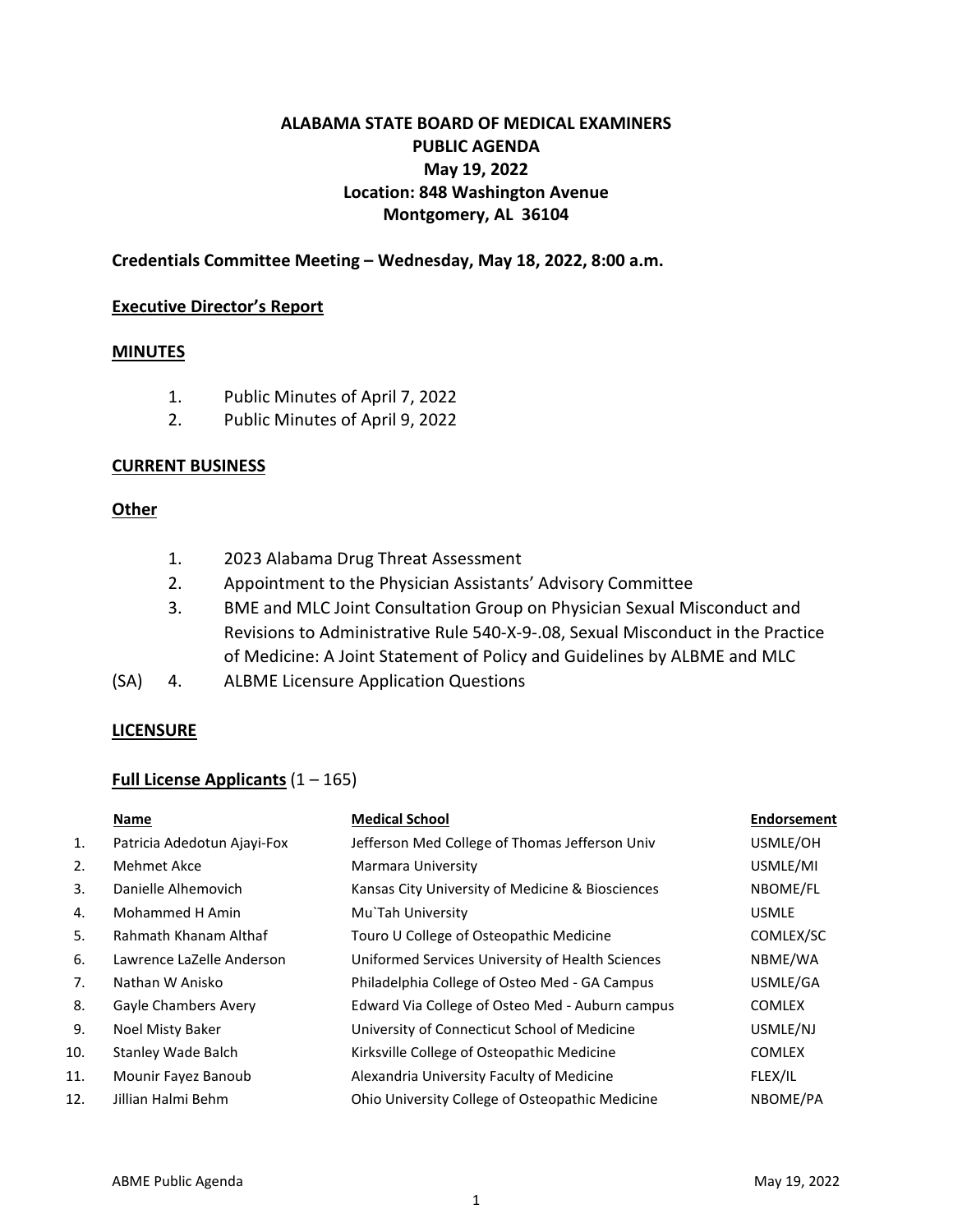# **ALABAMA STATE BOARD OF MEDICAL EXAMINERS PUBLIC AGENDA May 19, 2022 Location: 848 Washington Avenue Montgomery, AL 36104**

# **Credentials Committee Meeting – Wednesday, May 18, 2022, 8:00 a.m.**

## **Executive Director's Report**

## **MINUTES**

- 1. Public Minutes of April 7, 2022
- 2. Public Minutes of April 9, 2022

## **CURRENT BUSINESS**

## **Other**

- 1. 2023 Alabama Drug Threat Assessment
- 2. Appointment to the Physician Assistants' Advisory Committee
- 3. BME and MLC Joint Consultation Group on Physician Sexual Misconduct and Revisions to Administrative Rule 540-X-9-.08, Sexual Misconduct in the Practice of Medicine: A Joint Statement of Policy and Guidelines by ALBME and MLC
- (SA) 4. ALBME Licensure Application Questions

## **LICENSURE**

## **Full License Applicants** (1 – 165)

|     | Name                        | <b>Medical School</b>                            | <b>Endorsement</b> |
|-----|-----------------------------|--------------------------------------------------|--------------------|
| 1.  | Patricia Adedotun Ajayi-Fox | Jefferson Med College of Thomas Jefferson Univ   | USMLE/OH           |
| 2.  | Mehmet Akce                 | Marmara University                               | USMLE/MI           |
| 3.  | Danielle Alhemovich         | Kansas City University of Medicine & Biosciences | NBOME/FL           |
| 4.  | Mohammed H Amin             | Mu`Tah University                                | <b>USMLE</b>       |
| 5.  | Rahmath Khanam Althaf       | Touro U College of Osteopathic Medicine          | COMLEX/SC          |
| 6.  | Lawrence LaZelle Anderson   | Uniformed Services University of Health Sciences | NBME/WA            |
| 7.  | Nathan W Anisko             | Philadelphia College of Osteo Med - GA Campus    | USMLE/GA           |
| 8.  | Gayle Chambers Avery        | Edward Via College of Osteo Med - Auburn campus  | <b>COMLEX</b>      |
| 9.  | Noel Misty Baker            | University of Connecticut School of Medicine     | USMLE/NJ           |
| 10. | Stanley Wade Balch          | Kirksville College of Osteopathic Medicine       | <b>COMLEX</b>      |
| 11. | Mounir Fayez Banoub         | Alexandria University Faculty of Medicine        | FLEX/IL            |
| 12. | Jillian Halmi Behm          | Ohio University College of Osteopathic Medicine  | NBOME/PA           |
|     |                             |                                                  |                    |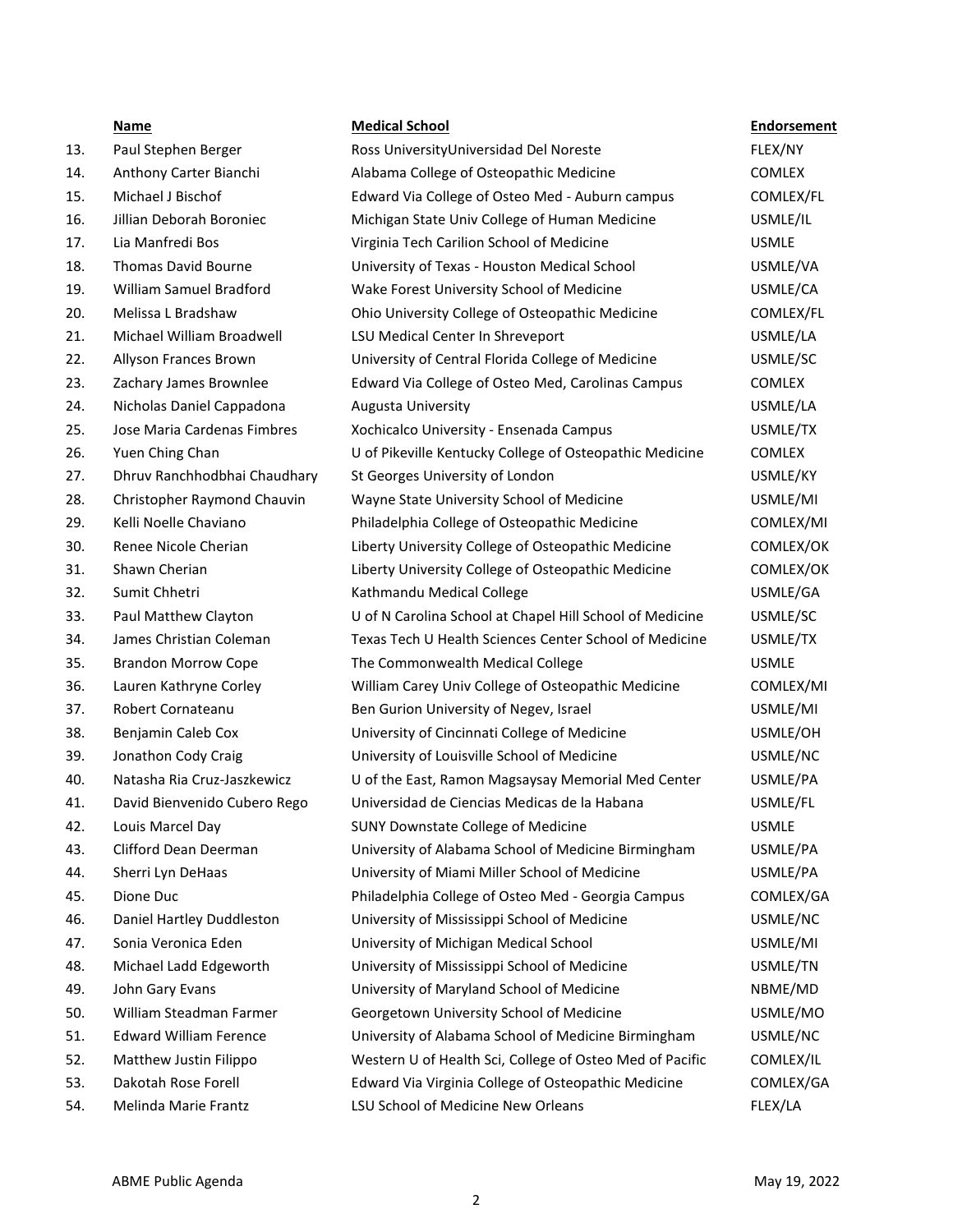- 13. Paul Stephen Berger
- 14. Anthony Carter Bianchi
- 15. Michael J Bischof
- 16. Jillian Deborah Boroniec
- 17. Lia Manfredi Bos
- 18. Thomas David Bourne
- 19. William Samuel Bradford
- 20. Melissa L Bradshaw
- 21. Michael William Broadwell
- 22. Allyson Frances Brown
- 23. Zachary James Brownlee
- 24. Nicholas Daniel Cappadona
- 25. Jose Maria Cardenas Fimbres
- 26. Yuen Ching Chan
- 27. Dhruv Ranchhodbhai Chaudhary
- 28. Christopher Raymond Chauvin
- 29. Kelli Noelle Chaviano
- 30. Renee Nicole Cherian
- 
- 
- 33. Paul Matthew Clayton
- 34. James Christian Coleman
- 35. Brandon Morrow Cope
- 36. Lauren Kathryne Corley
- 37. Robert Cornateanu
- 38. Benjamin Caleb Cox
- 39. Jonathon Cody Craig
- 40. Natasha Ria Cruz-Jaszkewicz
- 41. David Bienvenido Cubero Rego
- 42. Louis Marcel Day
- 43. Clifford Dean Deerman
- 44. Sherri Lyn DeHaas
- 
- 46. Daniel Hartley Duddleston
- 47. Sonia Veronica Eden
- 48. Michael Ladd Edgeworth
- 49. John Gary Evans
- 50. William Steadman Farmer
- 51. Edward William Ference
- 52. Matthew Justin Filippo
- 53. Dakotah Rose Forell
- 54. Melinda Marie Frantz

|     | <b>Name</b>                   | <b>Medical School</b>                                    | <b>Endorsement</b> |
|-----|-------------------------------|----------------------------------------------------------|--------------------|
| 13. | Paul Stephen Berger           | Ross UniversityUniversidad Del Noreste                   | FLEX/NY            |
| 14. | Anthony Carter Bianchi        | Alabama College of Osteopathic Medicine                  | <b>COMLEX</b>      |
| 15. | Michael J Bischof             | Edward Via College of Osteo Med - Auburn campus          | COMLEX/FL          |
| 16. | Jillian Deborah Boroniec      | Michigan State Univ College of Human Medicine            | USMLE/IL           |
| 17. | Lia Manfredi Bos              | Virginia Tech Carilion School of Medicine                | <b>USMLE</b>       |
| 18. | <b>Thomas David Bourne</b>    | University of Texas - Houston Medical School             | USMLE/VA           |
| 19. | William Samuel Bradford       | Wake Forest University School of Medicine                | USMLE/CA           |
| 20. | Melissa L Bradshaw            | Ohio University College of Osteopathic Medicine          | COMLEX/FL          |
| 21. | Michael William Broadwell     | LSU Medical Center In Shreveport                         | USMLE/LA           |
| 22. | Allyson Frances Brown         | University of Central Florida College of Medicine        | USMLE/SC           |
| 23. | Zachary James Brownlee        | Edward Via College of Osteo Med, Carolinas Campus        | <b>COMLEX</b>      |
| 24. | Nicholas Daniel Cappadona     | Augusta University                                       | USMLE/LA           |
| 25. | Jose Maria Cardenas Fimbres   | Xochicalco University - Ensenada Campus                  | USMLE/TX           |
| 26. | Yuen Ching Chan               | U of Pikeville Kentucky College of Osteopathic Medicine  | <b>COMLEX</b>      |
| 27. | Dhruv Ranchhodbhai Chaudhary  | St Georges University of London                          | USMLE/KY           |
| 28. | Christopher Raymond Chauvin   | Wayne State University School of Medicine                | USMLE/MI           |
| 29. | Kelli Noelle Chaviano         | Philadelphia College of Osteopathic Medicine             | COMLEX/MI          |
| 30. | Renee Nicole Cherian          | Liberty University College of Osteopathic Medicine       | COMLEX/OK          |
| 31. | Shawn Cherian                 | Liberty University College of Osteopathic Medicine       | COMLEX/OK          |
| 32. | Sumit Chhetri                 | Kathmandu Medical College                                | USMLE/GA           |
| 33. | Paul Matthew Clayton          | U of N Carolina School at Chapel Hill School of Medicine | USMLE/SC           |
| 34. | James Christian Coleman       | Texas Tech U Health Sciences Center School of Medicine   | USMLE/TX           |
| 35. | <b>Brandon Morrow Cope</b>    | The Commonwealth Medical College                         | <b>USMLE</b>       |
| 36. | Lauren Kathryne Corley        | William Carey Univ College of Osteopathic Medicine       | COMLEX/MI          |
| 37. | Robert Cornateanu             | Ben Gurion University of Negev, Israel                   | USMLE/MI           |
| 38. | Benjamin Caleb Cox            | University of Cincinnati College of Medicine             | USMLE/OH           |
| 39. | Jonathon Cody Craig           | University of Louisville School of Medicine              | USMLE/NC           |
| 40. | Natasha Ria Cruz-Jaszkewicz   | U of the East, Ramon Magsaysay Memorial Med Center       | USMLE/PA           |
| 41. | David Bienvenido Cubero Rego  | Universidad de Ciencias Medicas de la Habana             | USMLE/FL           |
| 42. | Louis Marcel Day              | <b>SUNY Downstate College of Medicine</b>                | <b>USMLE</b>       |
| 43. | Clifford Dean Deerman         | University of Alabama School of Medicine Birmingham      | USMLE/PA           |
| 44. | Sherri Lyn DeHaas             | University of Miami Miller School of Medicine            | USMLE/PA           |
| 45. | Dione Duc                     | Philadelphia College of Osteo Med - Georgia Campus       | COMLEX/GA          |
| 46. | Daniel Hartley Duddleston     | University of Mississippi School of Medicine             | USMLE/NC           |
| 47. | Sonia Veronica Eden           | University of Michigan Medical School                    | USMLE/MI           |
| 48. | Michael Ladd Edgeworth        | University of Mississippi School of Medicine             | USMLE/TN           |
| 49. | John Gary Evans               | University of Maryland School of Medicine                | NBME/MD            |
| 50. | William Steadman Farmer       | Georgetown University School of Medicine                 | USMLE/MO           |
| 51. | <b>Edward William Ference</b> | University of Alabama School of Medicine Birmingham      | USMLE/NC           |
| 52. | Matthew Justin Filippo        | Western U of Health Sci, College of Osteo Med of Pacific | COMLEX/IL          |
| 53. | Dakotah Rose Forell           | Edward Via Virginia College of Osteopathic Medicine      | COMLEX/GA          |
| 54. | Melinda Marie Frantz          | LSU School of Medicine New Orleans                       | FLEX/LA            |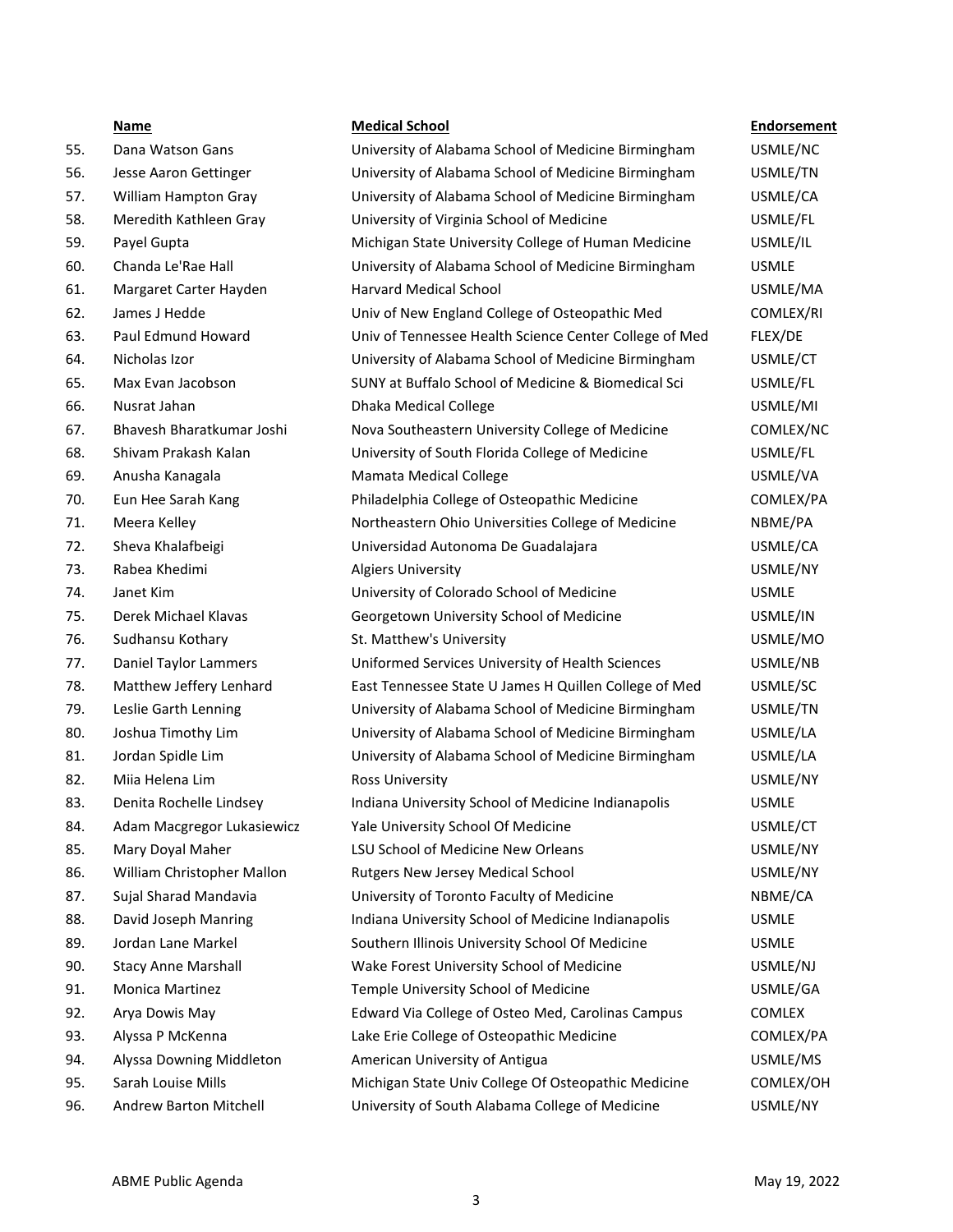- 55. Dana Watson Gans
- 56. Jesse Aaron Gettinger
- 57. William Hampton Gray
- 58. Meredith Kathleen Gray
- 
- 60. Chanda Le'Rae Hall
- 61. Margaret Carter Hayden
- 
- 63. Paul Edmund Howard
- 
- 65. Max Evan Jacobson
- 
- 67. Bhavesh Bharatkumar Joshi
- 68. Shivam Prakash Kalan
- 69. Anusha Kanagala
- 70. Eun Hee Sarah Kang
- 71. Meera Kelley
- 72. Sheva Khalafbeigi
- 
- 
- 75. Derek Michael Klavas
- 76. Sudhansu Kothary
- 77. Daniel Taylor Lammers
- 78. Matthew Jeffery Lenhard
- 79. Leslie Garth Lenning
- 80. Joshua Timothy Lim
- 81. Jordan Spidle Lim
- 82. Miia Helena Lim
- 83. Denita Rochelle Lindsey
- 84. Adam Macgregor Lukasiewicz
- 85. Mary Doyal Maher
- 86. William Christopher Mallon
- 87. Sujal Sharad Mandavia
- 88. David Joseph Manring
- 89. Jordan Lane Markel
- 90. Stacy Anne Marshall
- 91. Monica Martinez
- 92. Arya Dowis May
- 93. Alyssa P McKenna
- 94. Alyssa Downing Middleton
- 95. Sarah Louise Mills
- 96. Andrew Barton Mitchell

#### **Name Medical School Endorsement**

| 55. | Dana Watson Gans           | University of Alabama School of Medicine Birmingham    | USMLE/NC      |
|-----|----------------------------|--------------------------------------------------------|---------------|
| 56. | Jesse Aaron Gettinger      | University of Alabama School of Medicine Birmingham    | USMLE/TN      |
| 57. | William Hampton Gray       | University of Alabama School of Medicine Birmingham    | USMLE/CA      |
| 58. | Meredith Kathleen Gray     | University of Virginia School of Medicine              | USMLE/FL      |
| 59. | Payel Gupta                | Michigan State University College of Human Medicine    | USMLE/IL      |
| 60. | Chanda Le'Rae Hall         | University of Alabama School of Medicine Birmingham    | <b>USMLE</b>  |
| 61. | Margaret Carter Hayden     | <b>Harvard Medical School</b>                          | USMLE/MA      |
| 62. | James J Hedde              | Univ of New England College of Osteopathic Med         | COMLEX/RI     |
| 63. | Paul Edmund Howard         | Univ of Tennessee Health Science Center College of Med | FLEX/DE       |
| 64. | Nicholas Izor              | University of Alabama School of Medicine Birmingham    | USMLE/CT      |
| 65. | Max Evan Jacobson          | SUNY at Buffalo School of Medicine & Biomedical Sci    | USMLE/FL      |
| 66. | Nusrat Jahan               | <b>Dhaka Medical College</b>                           | USMLE/MI      |
| 67. | Bhavesh Bharatkumar Joshi  | Nova Southeastern University College of Medicine       | COMLEX/NC     |
| 68. | Shivam Prakash Kalan       | University of South Florida College of Medicine        | USMLE/FL      |
| 69. | Anusha Kanagala            | Mamata Medical College                                 | USMLE/VA      |
| 70. | Eun Hee Sarah Kang         | Philadelphia College of Osteopathic Medicine           | COMLEX/PA     |
| 71. | Meera Kelley               | Northeastern Ohio Universities College of Medicine     | NBME/PA       |
| 72. | Sheva Khalafbeigi          | Universidad Autonoma De Guadalajara                    | USMLE/CA      |
| 73. | Rabea Khedimi              | <b>Algiers University</b>                              | USMLE/NY      |
| 74. | Janet Kim                  | University of Colorado School of Medicine              | <b>USMLE</b>  |
| 75. | Derek Michael Klavas       | Georgetown University School of Medicine               | USMLE/IN      |
| 76. | Sudhansu Kothary           | St. Matthew's University                               | USMLE/MO      |
| 77. | Daniel Taylor Lammers      | Uniformed Services University of Health Sciences       | USMLE/NB      |
| 78. | Matthew Jeffery Lenhard    | East Tennessee State U James H Quillen College of Med  | USMLE/SC      |
| 79. | Leslie Garth Lenning       | University of Alabama School of Medicine Birmingham    | USMLE/TN      |
| 80. | Joshua Timothy Lim         | University of Alabama School of Medicine Birmingham    | USMLE/LA      |
| 81. | Jordan Spidle Lim          | University of Alabama School of Medicine Birmingham    | USMLE/LA      |
| 82. | Miia Helena Lim            | Ross University                                        | USMLE/NY      |
| 83. | Denita Rochelle Lindsey    | Indiana University School of Medicine Indianapolis     | <b>USMLE</b>  |
| 84. | Adam Macgregor Lukasiewicz | Yale University School Of Medicine                     | USMLE/CT      |
| 85. | Mary Doyal Maher           | LSU School of Medicine New Orleans                     | USMLE/NY      |
| 86. | William Christopher Mallon | Rutgers New Jersey Medical School                      | USMLE/NY      |
| 87. | Sujal Sharad Mandavia      | University of Toronto Faculty of Medicine              | NBME/CA       |
| 88. | David Joseph Manring       | Indiana University School of Medicine Indianapolis     | <b>USMLE</b>  |
| 89. | Jordan Lane Markel         | Southern Illinois University School Of Medicine        | <b>USMLE</b>  |
| 90. | <b>Stacy Anne Marshall</b> | Wake Forest University School of Medicine              | USMLE/NJ      |
| 91. | Monica Martinez            | Temple University School of Medicine                   | USMLE/GA      |
| 92. | Arya Dowis May             | Edward Via College of Osteo Med, Carolinas Campus      | <b>COMLEX</b> |
| 93. | Alyssa P McKenna           | Lake Erie College of Osteopathic Medicine              | COMLEX/PA     |
| 94. | Alyssa Downing Middleton   | American University of Antigua                         | USMLE/MS      |
| 95. | Sarah Louise Mills         | Michigan State Univ College Of Osteopathic Medicine    | COMLEX/OH     |
| 96. | Andrew Barton Mitchell     | University of South Alabama College of Medicine        | USMLE/NY      |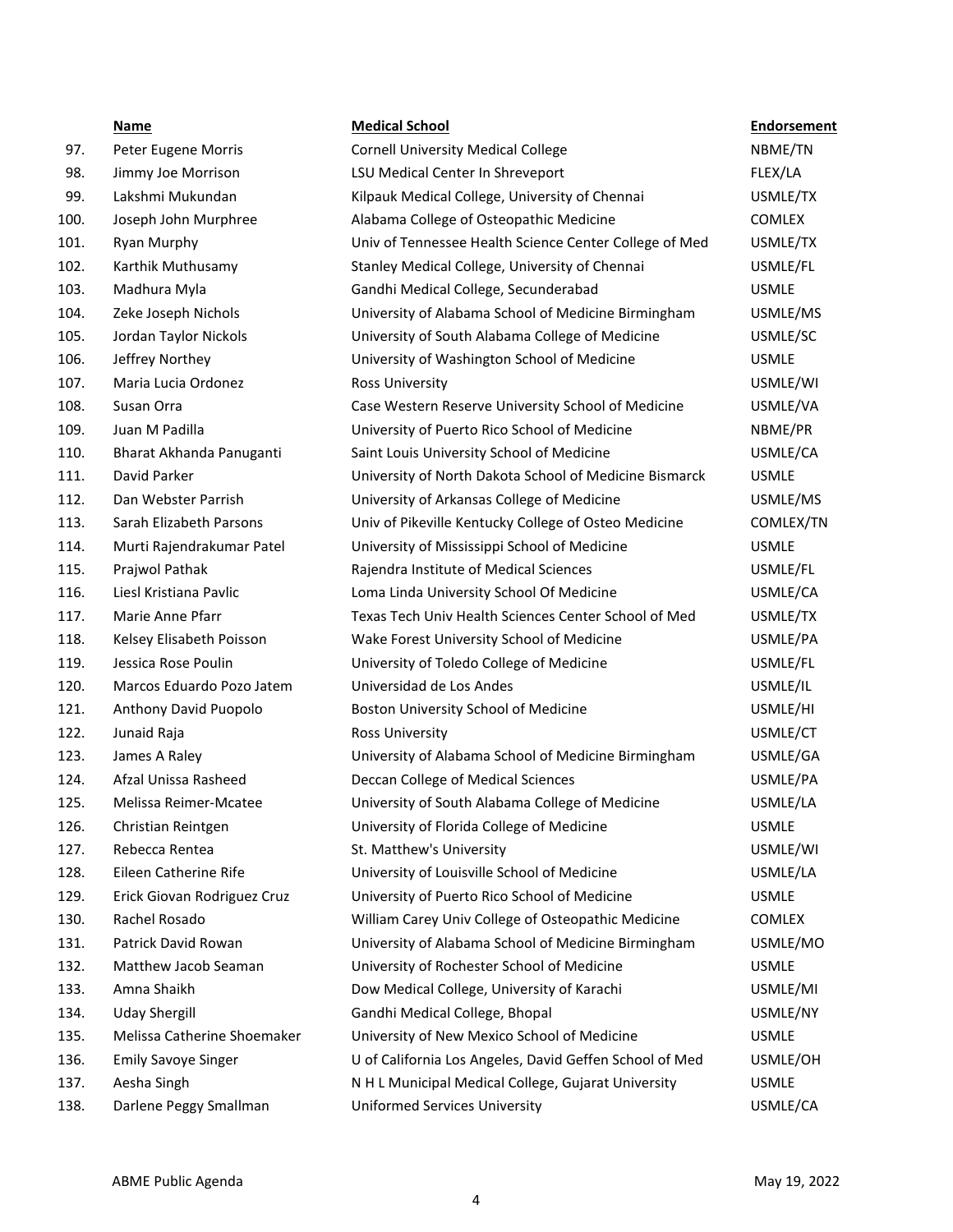|      | <b>Name</b>                 | <b>Medical School</b>                                   | <b>Endorsement</b> |
|------|-----------------------------|---------------------------------------------------------|--------------------|
| 97.  | Peter Eugene Morris         | <b>Cornell University Medical College</b>               | NBME/TN            |
| 98.  | Jimmy Joe Morrison          | LSU Medical Center In Shreveport                        | FLEX/LA            |
| 99.  | Lakshmi Mukundan            | Kilpauk Medical College, University of Chennai          | USMLE/TX           |
| 100. | Joseph John Murphree        | Alabama College of Osteopathic Medicine                 | <b>COMLEX</b>      |
| 101. | Ryan Murphy                 | Univ of Tennessee Health Science Center College of Med  | USMLE/TX           |
| 102. | Karthik Muthusamy           | Stanley Medical College, University of Chennai          | USMLE/FL           |
| 103. | Madhura Myla                | Gandhi Medical College, Secunderabad                    | <b>USMLE</b>       |
| 104. | Zeke Joseph Nichols         | University of Alabama School of Medicine Birmingham     | USMLE/MS           |
| 105. | Jordan Taylor Nickols       | University of South Alabama College of Medicine         | USMLE/SC           |
| 106. | Jeffrey Northey             | University of Washington School of Medicine             | <b>USMLE</b>       |
| 107. | Maria Lucia Ordonez         | Ross University                                         | USMLE/WI           |
| 108. | Susan Orra                  | Case Western Reserve University School of Medicine      | USMLE/VA           |
| 109. | Juan M Padilla              | University of Puerto Rico School of Medicine            | NBME/PR            |
| 110. | Bharat Akhanda Panuganti    | Saint Louis University School of Medicine               | USMLE/CA           |
| 111. | David Parker                | University of North Dakota School of Medicine Bismarck  | <b>USMLE</b>       |
| 112. | Dan Webster Parrish         | University of Arkansas College of Medicine              | USMLE/MS           |
| 113. | Sarah Elizabeth Parsons     | Univ of Pikeville Kentucky College of Osteo Medicine    | COMLEX/TN          |
| 114. | Murti Rajendrakumar Patel   | University of Mississippi School of Medicine            | <b>USMLE</b>       |
| 115. | Prajwol Pathak              | Rajendra Institute of Medical Sciences                  | USMLE/FL           |
| 116. | Liesl Kristiana Pavlic      | Loma Linda University School Of Medicine                | USMLE/CA           |
| 117. | Marie Anne Pfarr            | Texas Tech Univ Health Sciences Center School of Med    | USMLE/TX           |
| 118. | Kelsey Elisabeth Poisson    | Wake Forest University School of Medicine               | USMLE/PA           |
| 119. | Jessica Rose Poulin         | University of Toledo College of Medicine                | USMLE/FL           |
| 120. | Marcos Eduardo Pozo Jatem   | Universidad de Los Andes                                | USMLE/IL           |
| 121. | Anthony David Puopolo       | Boston University School of Medicine                    | USMLE/HI           |
| 122. | Junaid Raja                 | Ross University                                         | USMLE/CT           |
| 123. | James A Raley               | University of Alabama School of Medicine Birmingham     | USMLE/GA           |
| 124. | Afzal Unissa Rasheed        | Deccan College of Medical Sciences                      | USMLE/PA           |
| 125. | Melissa Reimer-Mcatee       | University of South Alabama College of Medicine         | USMLE/LA           |
| 126. | Christian Reintgen          | University of Florida College of Medicine               | <b>USMLE</b>       |
| 127. | Rebecca Rentea              | St. Matthew's University                                | USMLE/WI           |
| 128. | Eileen Catherine Rife       | University of Louisville School of Medicine             | USMLE/LA           |
| 129. | Erick Giovan Rodriguez Cruz | University of Puerto Rico School of Medicine            | <b>USMLE</b>       |
| 130. | Rachel Rosado               | William Carey Univ College of Osteopathic Medicine      | <b>COMLEX</b>      |
| 131. | Patrick David Rowan         | University of Alabama School of Medicine Birmingham     | USMLE/MO           |
| 132. | Matthew Jacob Seaman        | University of Rochester School of Medicine              | <b>USMLE</b>       |
| 133. | Amna Shaikh                 | Dow Medical College, University of Karachi              | USMLE/MI           |
| 134. | <b>Uday Shergill</b>        | Gandhi Medical College, Bhopal                          | USMLE/NY           |
| 135. | Melissa Catherine Shoemaker | University of New Mexico School of Medicine             | <b>USMLE</b>       |
| 136. | <b>Emily Savoye Singer</b>  | U of California Los Angeles, David Geffen School of Med | USMLE/OH           |
| 137. | Aesha Singh                 | N H L Municipal Medical College, Gujarat University     | <b>USMLE</b>       |
| 138. | Darlene Peggy Smallman      | Uniformed Services University                           | USMLE/CA           |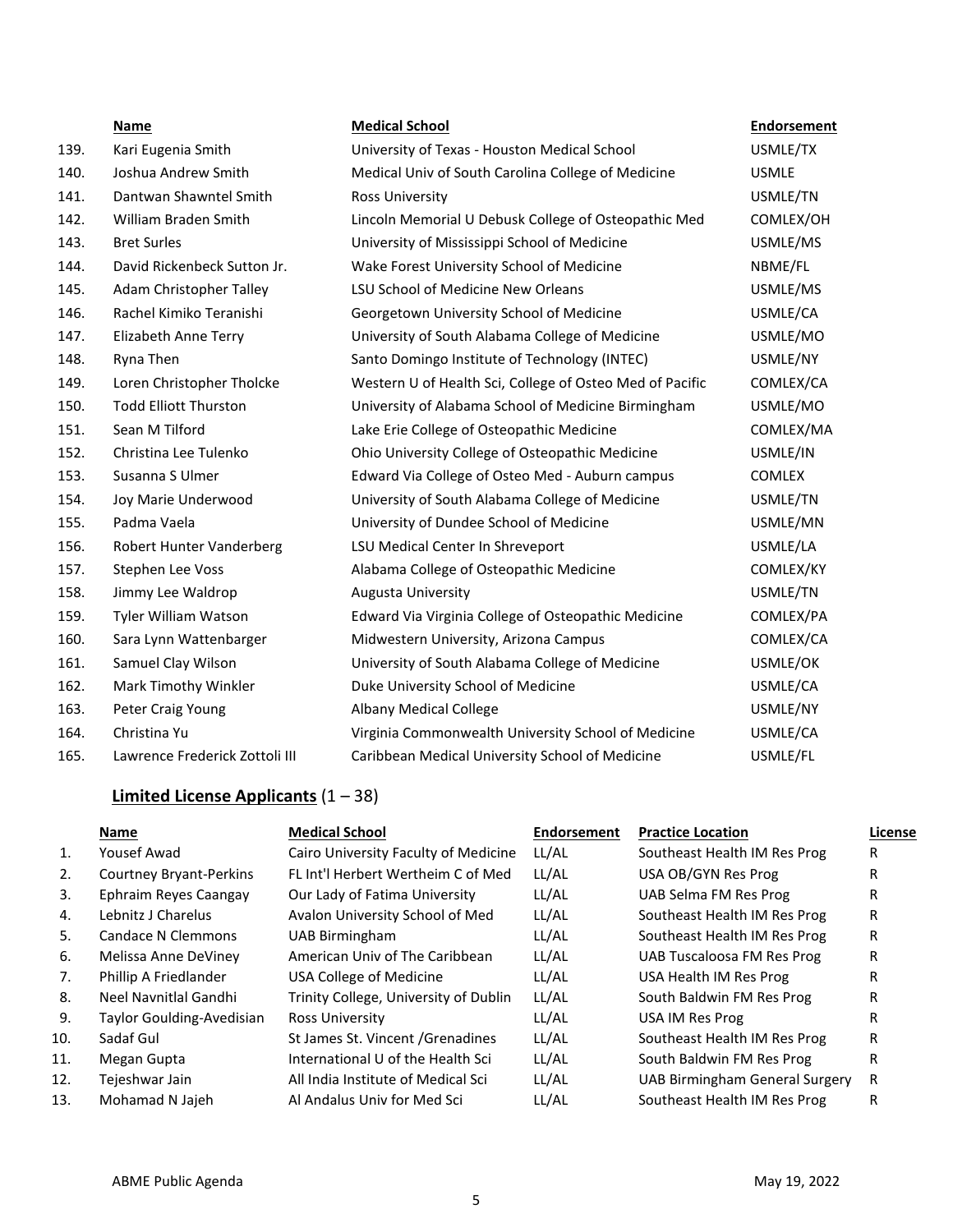|      | <b>Name</b>                    | <b>Medical School</b>                                    | <b>Endorsement</b> |
|------|--------------------------------|----------------------------------------------------------|--------------------|
| 139. | Kari Eugenia Smith             | University of Texas - Houston Medical School             | USMLE/TX           |
| 140. | Joshua Andrew Smith            | Medical Univ of South Carolina College of Medicine       | <b>USMLE</b>       |
| 141. | Dantwan Shawntel Smith         | Ross University                                          | USMLE/TN           |
| 142. | William Braden Smith           | Lincoln Memorial U Debusk College of Osteopathic Med     | COMLEX/OH          |
| 143. | <b>Bret Surles</b>             | University of Mississippi School of Medicine             | USMLE/MS           |
| 144. | David Rickenbeck Sutton Jr.    | Wake Forest University School of Medicine                | NBME/FL            |
| 145. | Adam Christopher Talley        | LSU School of Medicine New Orleans                       | USMLE/MS           |
| 146. | Rachel Kimiko Teranishi        | Georgetown University School of Medicine                 | USMLE/CA           |
| 147. | Elizabeth Anne Terry           | University of South Alabama College of Medicine          | USMLE/MO           |
| 148. | Ryna Then                      | Santo Domingo Institute of Technology (INTEC)            | USMLE/NY           |
| 149. | Loren Christopher Tholcke      | Western U of Health Sci, College of Osteo Med of Pacific | COMLEX/CA          |
| 150. | <b>Todd Elliott Thurston</b>   | University of Alabama School of Medicine Birmingham      | USMLE/MO           |
| 151. | Sean M Tilford                 | Lake Erie College of Osteopathic Medicine                | COMLEX/MA          |
| 152. | Christina Lee Tulenko          | Ohio University College of Osteopathic Medicine          | USMLE/IN           |
| 153. | Susanna S Ulmer                | Edward Via College of Osteo Med - Auburn campus          | <b>COMLEX</b>      |
| 154. | Joy Marie Underwood            | University of South Alabama College of Medicine          | USMLE/TN           |
| 155. | Padma Vaela                    | University of Dundee School of Medicine                  | USMLE/MN           |
| 156. | Robert Hunter Vanderberg       | LSU Medical Center In Shreveport                         | USMLE/LA           |
| 157. | Stephen Lee Voss               | Alabama College of Osteopathic Medicine                  | COMLEX/KY          |
| 158. | Jimmy Lee Waldrop              | <b>Augusta University</b>                                | USMLE/TN           |
| 159. | Tyler William Watson           | Edward Via Virginia College of Osteopathic Medicine      | COMLEX/PA          |
| 160. | Sara Lynn Wattenbarger         | Midwestern University, Arizona Campus                    | COMLEX/CA          |
| 161. | Samuel Clay Wilson             | University of South Alabama College of Medicine          | USMLE/OK           |
| 162. | Mark Timothy Winkler           | Duke University School of Medicine                       | USMLE/CA           |
| 163. | Peter Craig Young              | <b>Albany Medical College</b>                            | USMLE/NY           |
| 164. | Christina Yu                   | Virginia Commonwealth University School of Medicine      | USMLE/CA           |
| 165. | Lawrence Frederick Zottoli III | Caribbean Medical University School of Medicine          | USMLE/FL           |

# **Limited License Applicants** (1 – 38)

|     | Name                           | <b>Medical School</b>                 | <b>Endorsement</b> | <b>Practice Location</b>       | License |
|-----|--------------------------------|---------------------------------------|--------------------|--------------------------------|---------|
| 1.  | Yousef Awad                    | Cairo University Faculty of Medicine  | LL/AL              | Southeast Health IM Res Prog   | R       |
| 2.  | <b>Courtney Bryant-Perkins</b> | FL Int'l Herbert Wertheim C of Med    | LL/AL              | USA OB/GYN Res Prog            | R       |
| 3.  | Ephraim Reyes Caangay          | Our Lady of Fatima University         | LL/AL              | UAB Selma FM Res Prog          | R       |
| 4.  | Lebnitz J Charelus             | Avalon University School of Med       | LL/AL              | Southeast Health IM Res Prog   | R       |
| 5.  | Candace N Clemmons             | <b>UAB Birmingham</b>                 | LL/AL              | Southeast Health IM Res Prog   | R       |
| 6.  | Melissa Anne DeViney           | American Univ of The Caribbean        | LL/AL              | UAB Tuscaloosa FM Res Prog     | R       |
| 7.  | Phillip A Friedlander          | USA College of Medicine               | LL/AL              | USA Health IM Res Prog         | R       |
| 8.  | Neel Navnitlal Gandhi          | Trinity College, University of Dublin | LL/AL              | South Baldwin FM Res Prog      | R       |
| 9.  | Taylor Goulding-Avedisian      | Ross University                       | LL/AL              | USA IM Res Prog                | R       |
| 10. | Sadaf Gul                      | St James St. Vincent / Grenadines     | LL/AL              | Southeast Health IM Res Prog   | R       |
| 11. | Megan Gupta                    | International U of the Health Sci     | LL/AL              | South Baldwin FM Res Prog      | R       |
| 12. | Tejeshwar Jain                 | All India Institute of Medical Sci    | LL/AL              | UAB Birmingham General Surgery | R       |
| 13. | Mohamad N Jajeh                | Al Andalus Univ for Med Sci           | LL/AL              | Southeast Health IM Res Prog   | R       |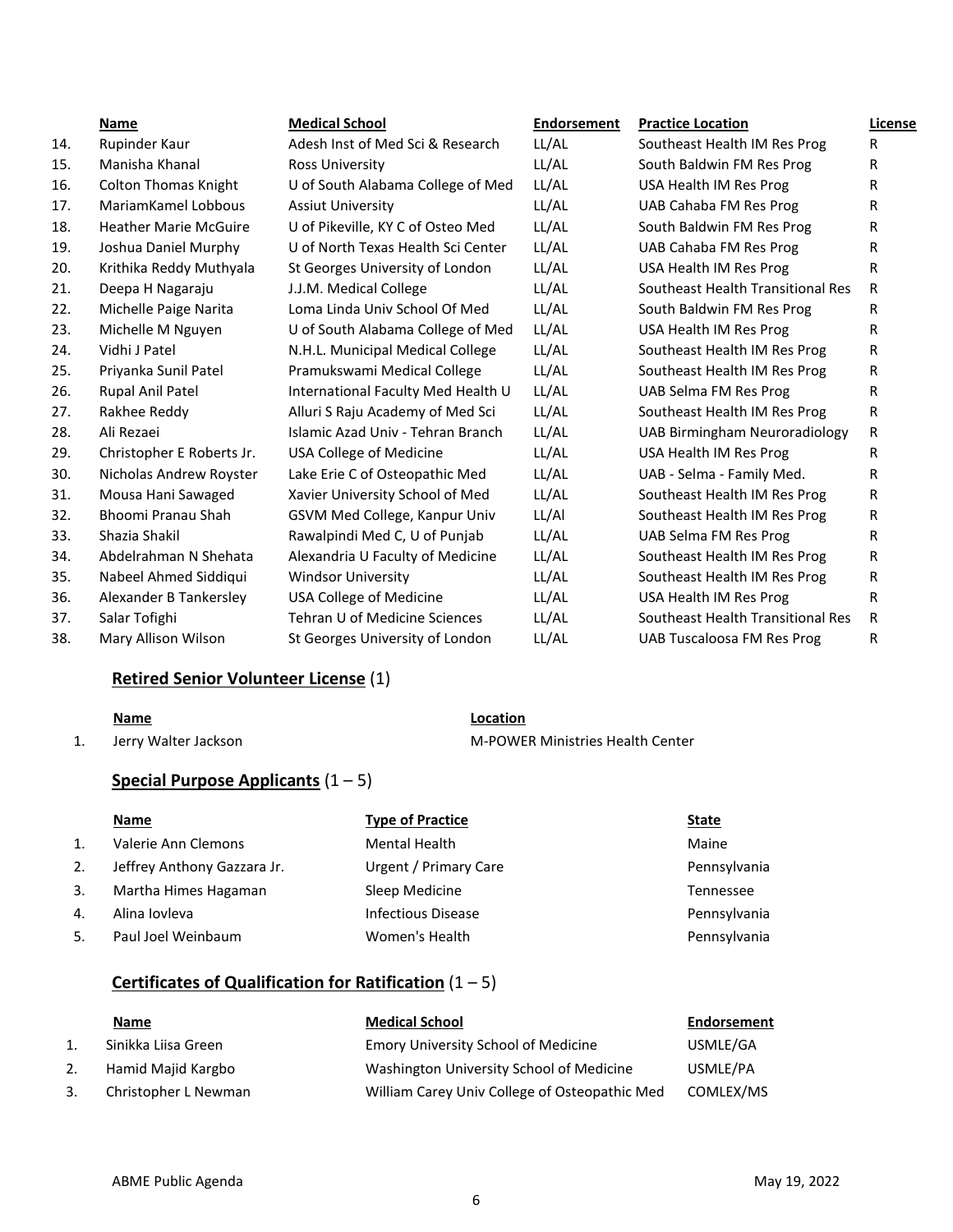|     | Name                         | <b>Medical School</b>              | <b>Endorsement</b> | <b>Practice Location</b>          | License |
|-----|------------------------------|------------------------------------|--------------------|-----------------------------------|---------|
| 14. | Rupinder Kaur                | Adesh Inst of Med Sci & Research   | LL/AL              | Southeast Health IM Res Prog      | R       |
| 15. | Manisha Khanal               | <b>Ross University</b>             | LL/AL              | South Baldwin FM Res Prog         | R       |
| 16. | <b>Colton Thomas Knight</b>  | U of South Alabama College of Med  | LL/AL              | USA Health IM Res Prog            | R       |
| 17. | MariamKamel Lobbous          | <b>Assiut University</b>           | LL/AL              | UAB Cahaba FM Res Prog            | R       |
| 18. | <b>Heather Marie McGuire</b> | U of Pikeville, KY C of Osteo Med  | LL/AL              | South Baldwin FM Res Prog         | R       |
| 19. | Joshua Daniel Murphy         | U of North Texas Health Sci Center | LL/AL              | UAB Cahaba FM Res Prog            | R.      |
| 20. | Krithika Reddy Muthyala      | St Georges University of London    | LL/AL              | USA Health IM Res Prog            | R       |
| 21. | Deepa H Nagaraju             | J.J.M. Medical College             | LL/AL              | Southeast Health Transitional Res | R       |
| 22. | Michelle Paige Narita        | Loma Linda Univ School Of Med      | LL/AL              | South Baldwin FM Res Prog         | R.      |
| 23. | Michelle M Nguyen            | U of South Alabama College of Med  | LL/AL              | USA Health IM Res Prog            | R       |
| 24. | Vidhi J Patel                | N.H.L. Municipal Medical College   | LL/AL              | Southeast Health IM Res Prog      | R       |
| 25. | Priyanka Sunil Patel         | Pramukswami Medical College        | LL/AL              | Southeast Health IM Res Prog      | R       |
| 26. | Rupal Anil Patel             | International Faculty Med Health U | LL/AL              | UAB Selma FM Res Prog             | R       |
| 27. | Rakhee Reddy                 | Alluri S Raju Academy of Med Sci   | LL/AL              | Southeast Health IM Res Prog      | R       |
| 28. | Ali Rezaei                   | Islamic Azad Univ - Tehran Branch  | LL/AL              | UAB Birmingham Neuroradiology     | R.      |
| 29. | Christopher E Roberts Jr.    | USA College of Medicine            | LL/AL              | USA Health IM Res Prog            | R       |
| 30. | Nicholas Andrew Royster      | Lake Erie C of Osteopathic Med     | LL/AL              | UAB - Selma - Family Med.         | R       |
| 31. | Mousa Hani Sawaged           | Xavier University School of Med    | LL/AL              | Southeast Health IM Res Prog      | R.      |
| 32. | Bhoomi Pranau Shah           | GSVM Med College, Kanpur Univ      | LL/Al              | Southeast Health IM Res Prog      | R.      |
| 33. | Shazia Shakil                | Rawalpindi Med C, U of Punjab      | LL/AL              | UAB Selma FM Res Prog             | R       |
| 34. | Abdelrahman N Shehata        | Alexandria U Faculty of Medicine   | LL/AL              | Southeast Health IM Res Prog      | R       |
| 35. | Nabeel Ahmed Siddiqui        | <b>Windsor University</b>          | LL/AL              | Southeast Health IM Res Prog      | R       |
| 36. | Alexander B Tankersley       | <b>USA College of Medicine</b>     | LL/AL              | USA Health IM Res Prog            | R       |
| 37. | Salar Tofighi                | Tehran U of Medicine Sciences      | LL/AL              | Southeast Health Transitional Res | R       |
| 38. | Mary Allison Wilson          | St Georges University of London    | LL/AL              | <b>UAB Tuscaloosa FM Res Prog</b> | R       |

# **Retired Senior Volunteer License** (1)

# **Name Location**

1. Jerry Walter Jackson **M-POWER Ministries Health Center** 

# **Special Purpose Applicants** (1 – 5)

|     | Name                        | <b>Type of Practice</b>      | <b>State</b> |
|-----|-----------------------------|------------------------------|--------------|
| 1.  | Valerie Ann Clemons         | <b>Mental Health</b>         | Maine        |
| 2.  | Jeffrey Anthony Gazzara Jr. | <b>Urgent / Primary Care</b> | Pennsylvania |
| 3.  | Martha Himes Hagaman        | Sleep Medicine               | Tennessee    |
| 4.  | Alina Iovleva               | Infectious Disease           | Pennsylvania |
| .5. | Paul Joel Weinbaum          | Women's Health               | Pennsylvania |

# **Certificates of Qualification for Ratification** (1 – 5)

|    | Name                 | <b>Medical School</b>                         | Endorsement |
|----|----------------------|-----------------------------------------------|-------------|
|    | Sinikka Liisa Green  | <b>Emory University School of Medicine</b>    | USMLE/GA    |
|    | Hamid Majid Kargbo   | Washington University School of Medicine      | USMLE/PA    |
| 3. | Christopher L Newman | William Carey Univ College of Osteopathic Med | COMLEX/MS   |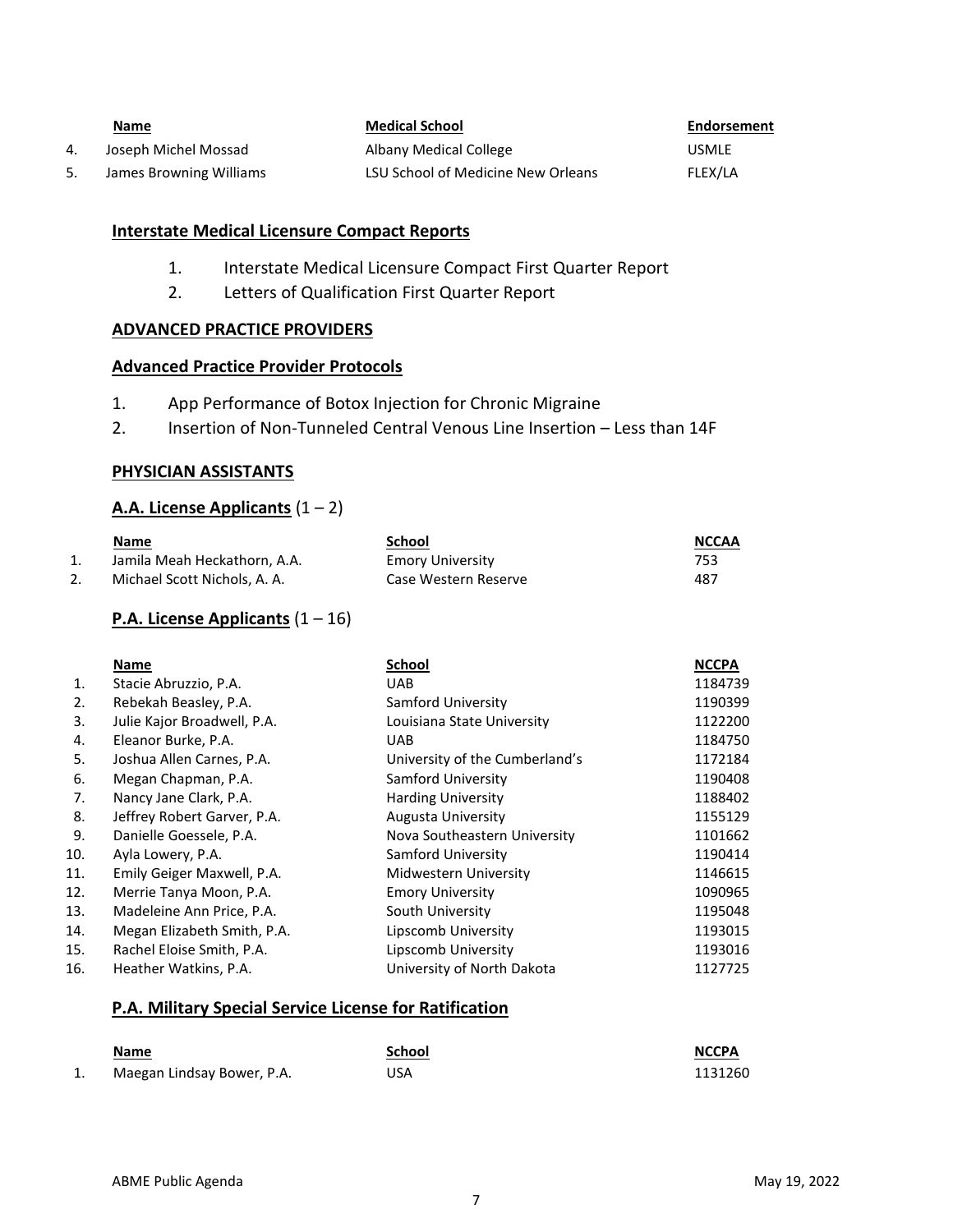|    | <u>Name</u>             | <b>Medical School</b>              | Endorsement  |
|----|-------------------------|------------------------------------|--------------|
| 4. | Joseph Michel Mossad    | Albany Medical College             | <b>USMLE</b> |
| 5. | James Browning Williams | LSU School of Medicine New Orleans | FLEX/LA      |

# **Interstate Medical Licensure Compact Reports**

- 1. Interstate Medical Licensure Compact First Quarter Report
- 2. Letters of Qualification First Quarter Report

### **ADVANCED PRACTICE PROVIDERS**

### **Advanced Practice Provider Protocols**

- 1. App Performance of Botox Injection for Chronic Migraine
- 2. Insertion of Non-Tunneled Central Venous Line Insertion Less than 14F

### **PHYSICIAN ASSISTANTS**

# **A.A. License Applicants** (1 – 2)

|    | Name                         | School                  | <b>NCCAA</b> |
|----|------------------------------|-------------------------|--------------|
| 1. | Jamila Meah Heckathorn, A.A. | <b>Emory University</b> | 753          |
| 2. | Michael Scott Nichols, A. A. | Case Western Reserve    | 487          |

# **P.A. License Applicants** (1 – 16)

|     | Name                        | <b>School</b>                  | <b>NCCPA</b> |
|-----|-----------------------------|--------------------------------|--------------|
| 1.  | Stacie Abruzzio, P.A.       | UAB                            | 1184739      |
| 2.  | Rebekah Beasley, P.A.       | Samford University             | 1190399      |
| 3.  | Julie Kajor Broadwell, P.A. | Louisiana State University     | 1122200      |
| 4.  | Eleanor Burke, P.A.         | <b>UAB</b>                     | 1184750      |
| 5.  | Joshua Allen Carnes, P.A.   | University of the Cumberland's | 1172184      |
| 6.  | Megan Chapman, P.A.         | Samford University             | 1190408      |
| 7.  | Nancy Jane Clark, P.A.      | <b>Harding University</b>      | 1188402      |
| 8.  | Jeffrey Robert Garver, P.A. | Augusta University             | 1155129      |
| 9.  | Danielle Goessele, P.A.     | Nova Southeastern University   | 1101662      |
| 10. | Ayla Lowery, P.A.           | Samford University             | 1190414      |
| 11. | Emily Geiger Maxwell, P.A.  | Midwestern University          | 1146615      |
| 12. | Merrie Tanya Moon, P.A.     | <b>Emory University</b>        | 1090965      |
| 13. | Madeleine Ann Price, P.A.   | South University               | 1195048      |
| 14. | Megan Elizabeth Smith, P.A. | Lipscomb University            | 1193015      |
| 15. | Rachel Eloise Smith, P.A.   | Lipscomb University            | 1193016      |
| 16. | Heather Watkins, P.A.       | University of North Dakota     | 1127725      |

### **P.A. Military Special Service License for Ratification**

|    | Name                       | School | <b>NCCPA</b> |
|----|----------------------------|--------|--------------|
| 1. | Maegan Lindsay Bower, P.A. | USA    | 1131260      |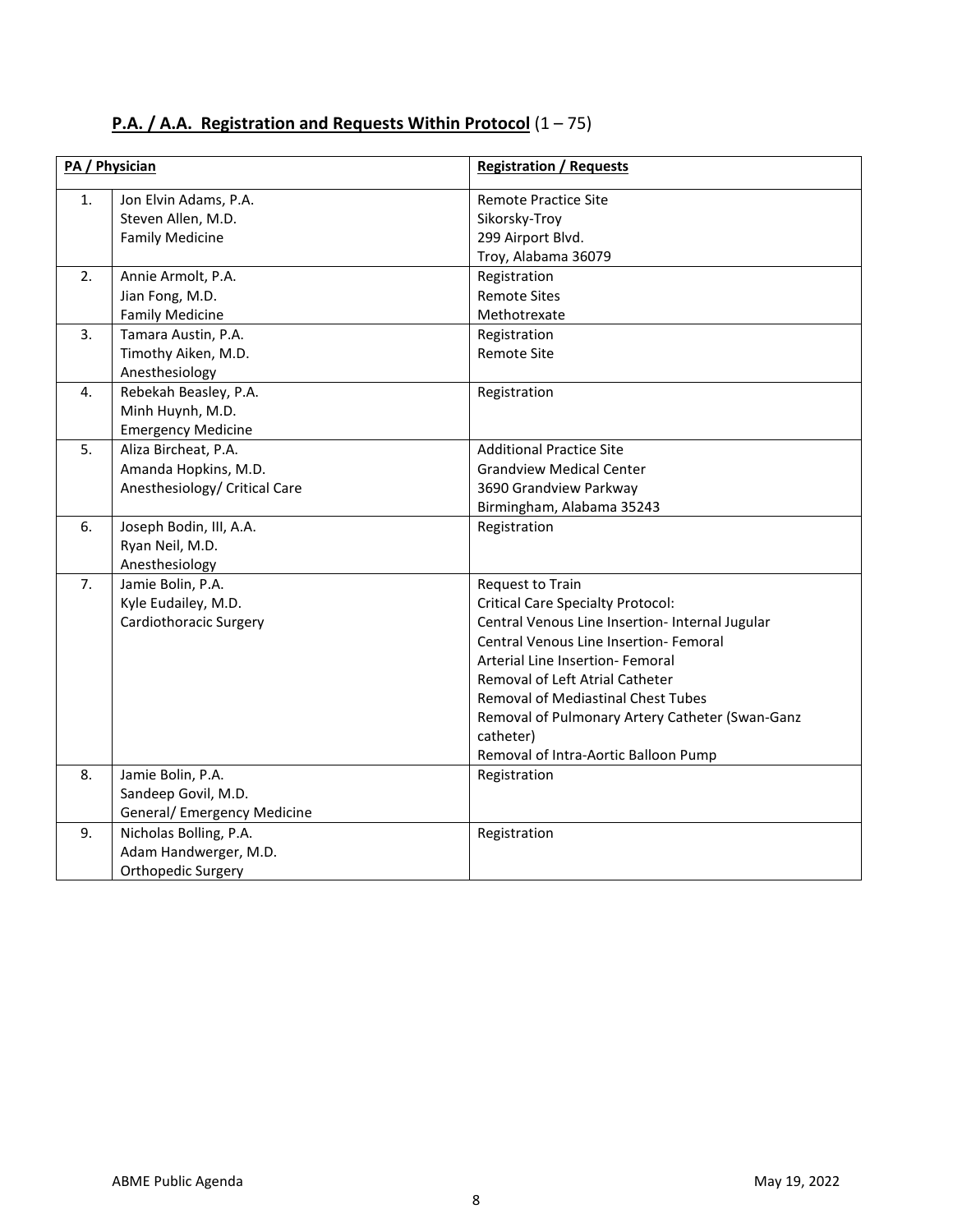| <b>P.A. / A.A. Registration and Requests Within Protocol</b> $(1 - 75)$ |  |
|-------------------------------------------------------------------------|--|
|-------------------------------------------------------------------------|--|

| PA / Physician |                                                                                | <b>Registration / Requests</b>                                                                                                                                                                                                                                                                                                                                                        |
|----------------|--------------------------------------------------------------------------------|---------------------------------------------------------------------------------------------------------------------------------------------------------------------------------------------------------------------------------------------------------------------------------------------------------------------------------------------------------------------------------------|
| 1.             | Jon Elvin Adams, P.A.<br>Steven Allen, M.D.<br><b>Family Medicine</b>          | <b>Remote Practice Site</b><br>Sikorsky-Troy<br>299 Airport Blvd.<br>Troy, Alabama 36079                                                                                                                                                                                                                                                                                              |
| 2.             | Annie Armolt, P.A.<br>Jian Fong, M.D.<br><b>Family Medicine</b>                | Registration<br><b>Remote Sites</b><br>Methotrexate                                                                                                                                                                                                                                                                                                                                   |
| 3.             | Tamara Austin, P.A.<br>Timothy Aiken, M.D.<br>Anesthesiology                   | Registration<br><b>Remote Site</b>                                                                                                                                                                                                                                                                                                                                                    |
| 4.             | Rebekah Beasley, P.A.<br>Minh Huynh, M.D.<br><b>Emergency Medicine</b>         | Registration                                                                                                                                                                                                                                                                                                                                                                          |
| 5.             | Aliza Bircheat, P.A.<br>Amanda Hopkins, M.D.<br>Anesthesiology/ Critical Care  | <b>Additional Practice Site</b><br><b>Grandview Medical Center</b><br>3690 Grandview Parkway<br>Birmingham, Alabama 35243                                                                                                                                                                                                                                                             |
| 6.             | Joseph Bodin, III, A.A.<br>Ryan Neil, M.D.<br>Anesthesiology                   | Registration                                                                                                                                                                                                                                                                                                                                                                          |
| 7.             | Jamie Bolin, P.A.<br>Kyle Eudailey, M.D.<br>Cardiothoracic Surgery             | Request to Train<br><b>Critical Care Specialty Protocol:</b><br>Central Venous Line Insertion- Internal Jugular<br>Central Venous Line Insertion- Femoral<br>Arterial Line Insertion- Femoral<br>Removal of Left Atrial Catheter<br><b>Removal of Mediastinal Chest Tubes</b><br>Removal of Pulmonary Artery Catheter (Swan-Ganz<br>catheter)<br>Removal of Intra-Aortic Balloon Pump |
| 8.             | Jamie Bolin, P.A.<br>Sandeep Govil, M.D.<br><b>General/ Emergency Medicine</b> | Registration                                                                                                                                                                                                                                                                                                                                                                          |
| 9.             | Nicholas Bolling, P.A.<br>Adam Handwerger, M.D.<br>Orthopedic Surgery          | Registration                                                                                                                                                                                                                                                                                                                                                                          |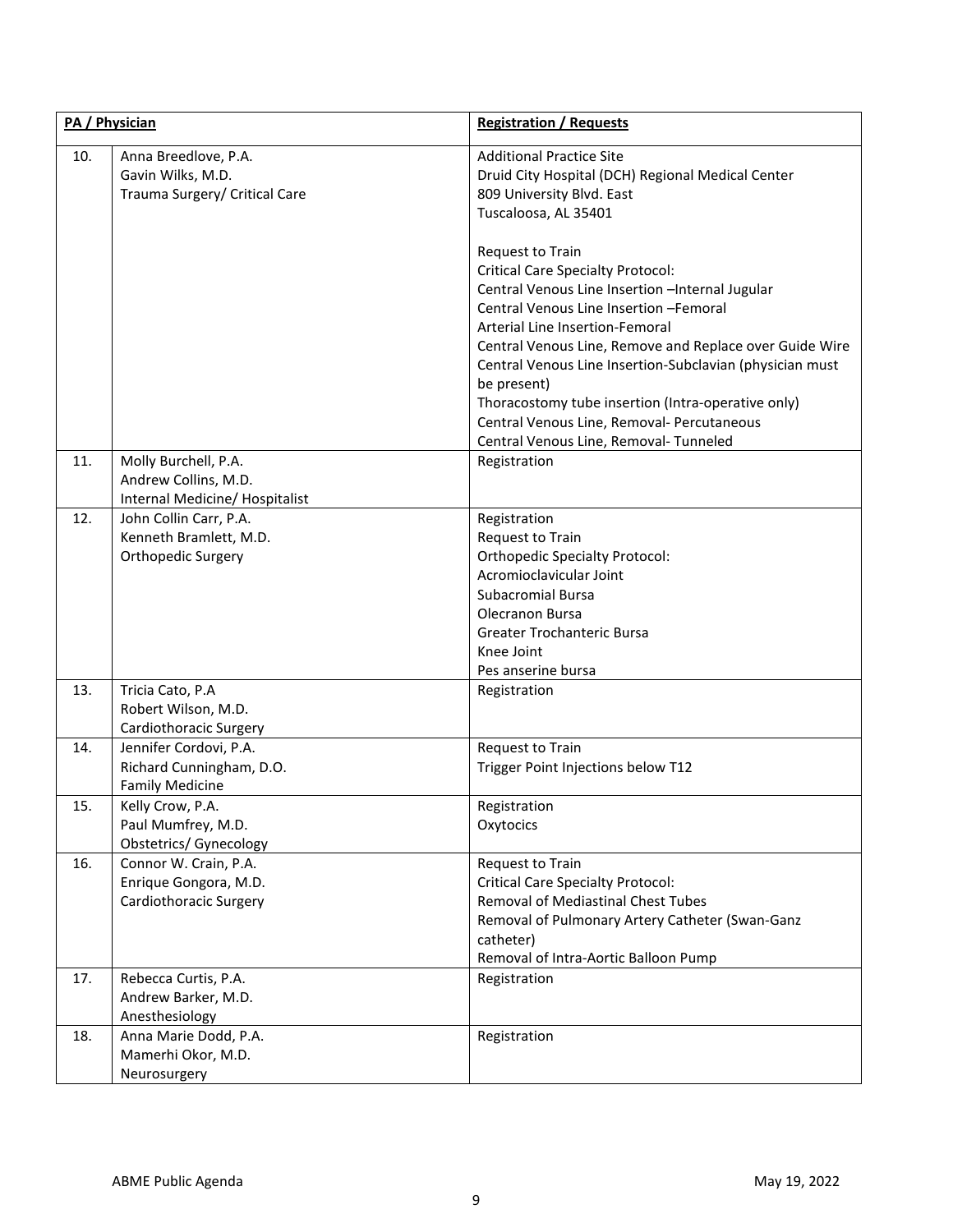| PA / Physician |                                                                                | <b>Registration / Requests</b>                                                                                                                                                                                                                                                                                                                                                                                                                                                  |
|----------------|--------------------------------------------------------------------------------|---------------------------------------------------------------------------------------------------------------------------------------------------------------------------------------------------------------------------------------------------------------------------------------------------------------------------------------------------------------------------------------------------------------------------------------------------------------------------------|
| 10.            | Anna Breedlove, P.A.<br>Gavin Wilks, M.D.<br>Trauma Surgery/ Critical Care     | <b>Additional Practice Site</b><br>Druid City Hospital (DCH) Regional Medical Center<br>809 University Blvd. East<br>Tuscaloosa, AL 35401<br>Request to Train<br><b>Critical Care Specialty Protocol:</b><br>Central Venous Line Insertion -Internal Jugular<br>Central Venous Line Insertion -Femoral<br>Arterial Line Insertion-Femoral<br>Central Venous Line, Remove and Replace over Guide Wire<br>Central Venous Line Insertion-Subclavian (physician must<br>be present) |
|                |                                                                                | Thoracostomy tube insertion (Intra-operative only)<br>Central Venous Line, Removal- Percutaneous<br>Central Venous Line, Removal- Tunneled                                                                                                                                                                                                                                                                                                                                      |
| 11.            | Molly Burchell, P.A.<br>Andrew Collins, M.D.<br>Internal Medicine/ Hospitalist | Registration                                                                                                                                                                                                                                                                                                                                                                                                                                                                    |
| 12.            | John Collin Carr, P.A.<br>Kenneth Bramlett, M.D.<br>Orthopedic Surgery         | Registration<br>Request to Train<br><b>Orthopedic Specialty Protocol:</b><br>Acromioclavicular Joint<br><b>Subacromial Bursa</b><br>Olecranon Bursa<br>Greater Trochanteric Bursa<br>Knee Joint<br>Pes anserine bursa                                                                                                                                                                                                                                                           |
| 13.            | Tricia Cato, P.A<br>Robert Wilson, M.D.<br>Cardiothoracic Surgery              | Registration                                                                                                                                                                                                                                                                                                                                                                                                                                                                    |
| 14.            | Jennifer Cordovi, P.A.<br>Richard Cunningham, D.O.<br><b>Family Medicine</b>   | Request to Train<br>Trigger Point Injections below T12                                                                                                                                                                                                                                                                                                                                                                                                                          |
| 15.            | Kelly Crow, P.A.<br>Paul Mumfrey, M.D.<br><b>Obstetrics/ Gynecology</b>        | Registration<br>Oxytocics                                                                                                                                                                                                                                                                                                                                                                                                                                                       |
| 16.            | Connor W. Crain, P.A.<br>Enrique Gongora, M.D.<br>Cardiothoracic Surgery       | <b>Request to Train</b><br><b>Critical Care Specialty Protocol:</b><br><b>Removal of Mediastinal Chest Tubes</b><br>Removal of Pulmonary Artery Catheter (Swan-Ganz<br>catheter)<br>Removal of Intra-Aortic Balloon Pump                                                                                                                                                                                                                                                        |
| 17.            | Rebecca Curtis, P.A.<br>Andrew Barker, M.D.<br>Anesthesiology                  | Registration                                                                                                                                                                                                                                                                                                                                                                                                                                                                    |
| 18.            | Anna Marie Dodd, P.A.<br>Mamerhi Okor, M.D.<br>Neurosurgery                    | Registration                                                                                                                                                                                                                                                                                                                                                                                                                                                                    |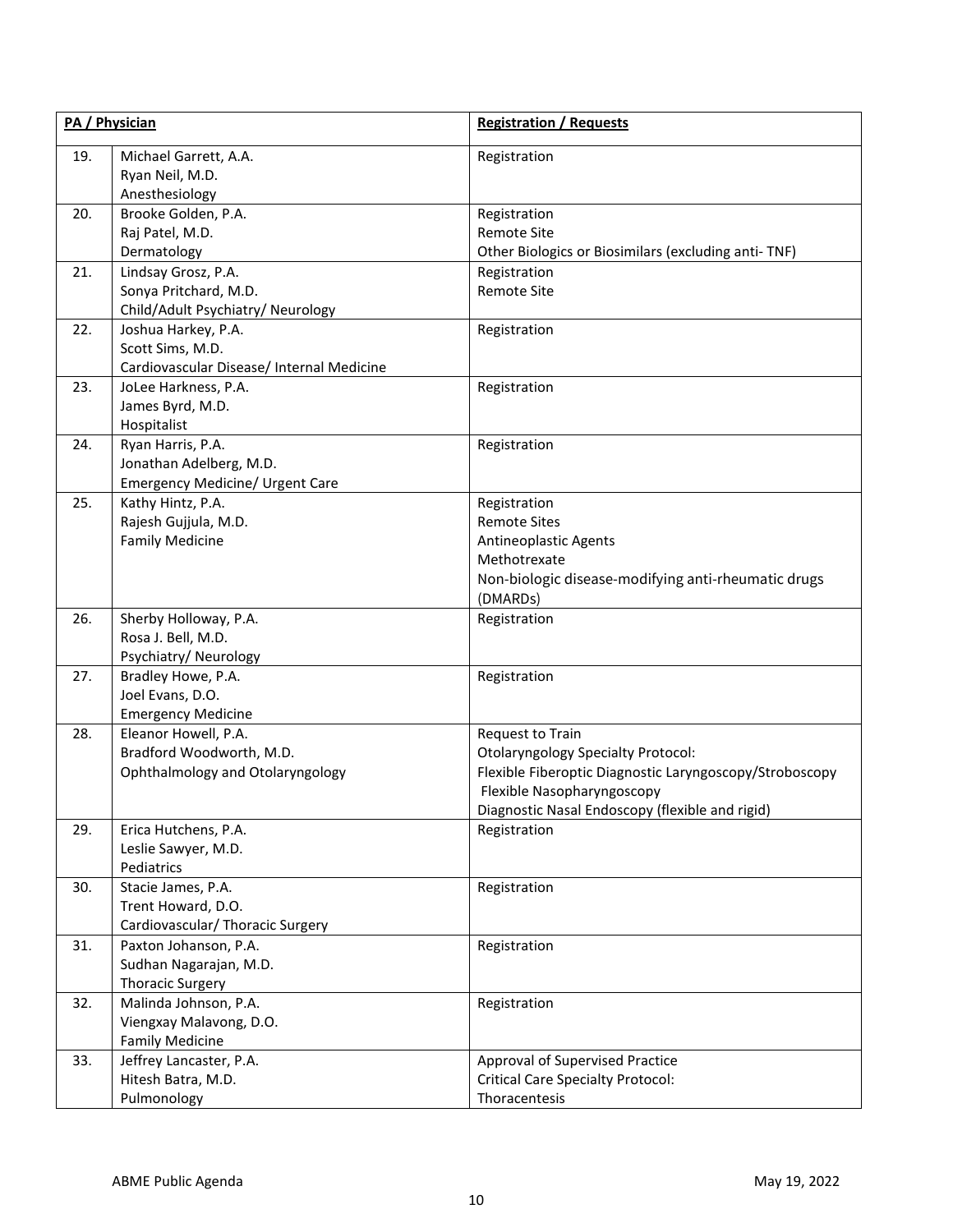| PA / Physician |                                                                                        | <b>Registration / Requests</b>                                                                                                                                                                            |  |
|----------------|----------------------------------------------------------------------------------------|-----------------------------------------------------------------------------------------------------------------------------------------------------------------------------------------------------------|--|
| 19.            | Michael Garrett, A.A.<br>Ryan Neil, M.D.<br>Anesthesiology                             | Registration                                                                                                                                                                                              |  |
| 20.            | Brooke Golden, P.A.<br>Raj Patel, M.D.<br>Dermatology                                  | Registration<br>Remote Site<br>Other Biologics or Biosimilars (excluding anti-TNF)                                                                                                                        |  |
| 21.            | Lindsay Grosz, P.A.<br>Sonya Pritchard, M.D.<br>Child/Adult Psychiatry/ Neurology      | Registration<br>Remote Site                                                                                                                                                                               |  |
| 22.            | Joshua Harkey, P.A.<br>Scott Sims, M.D.<br>Cardiovascular Disease/ Internal Medicine   | Registration                                                                                                                                                                                              |  |
| 23.            | JoLee Harkness, P.A.<br>James Byrd, M.D.<br>Hospitalist                                | Registration                                                                                                                                                                                              |  |
| 24.            | Ryan Harris, P.A.<br>Jonathan Adelberg, M.D.<br><b>Emergency Medicine/ Urgent Care</b> | Registration                                                                                                                                                                                              |  |
| 25.            | Kathy Hintz, P.A.<br>Rajesh Gujjula, M.D.<br><b>Family Medicine</b>                    | Registration<br><b>Remote Sites</b><br>Antineoplastic Agents<br>Methotrexate<br>Non-biologic disease-modifying anti-rheumatic drugs<br>(DMARDs)                                                           |  |
| 26.            | Sherby Holloway, P.A.<br>Rosa J. Bell, M.D.<br>Psychiatry/Neurology                    | Registration                                                                                                                                                                                              |  |
| 27.            | Bradley Howe, P.A.<br>Joel Evans, D.O.<br><b>Emergency Medicine</b>                    | Registration                                                                                                                                                                                              |  |
| 28.            | Eleanor Howell, P.A.<br>Bradford Woodworth, M.D.<br>Ophthalmology and Otolaryngology   | Request to Train<br><b>Otolaryngology Specialty Protocol:</b><br>Flexible Fiberoptic Diagnostic Laryngoscopy/Stroboscopy<br>Flexible Nasopharyngoscopy<br>Diagnostic Nasal Endoscopy (flexible and rigid) |  |
| 29.            | Erica Hutchens, P.A.<br>Leslie Sawyer, M.D.<br>Pediatrics                              | Registration                                                                                                                                                                                              |  |
| 30.            | Stacie James, P.A.<br>Trent Howard, D.O.<br>Cardiovascular/ Thoracic Surgery           | Registration                                                                                                                                                                                              |  |
| 31.            | Paxton Johanson, P.A.<br>Sudhan Nagarajan, M.D.<br><b>Thoracic Surgery</b>             | Registration                                                                                                                                                                                              |  |
| 32.            | Malinda Johnson, P.A.<br>Viengxay Malavong, D.O.<br><b>Family Medicine</b>             | Registration                                                                                                                                                                                              |  |
| 33.            | Jeffrey Lancaster, P.A.<br>Hitesh Batra, M.D.<br>Pulmonology                           | Approval of Supervised Practice<br><b>Critical Care Specialty Protocol:</b><br>Thoracentesis                                                                                                              |  |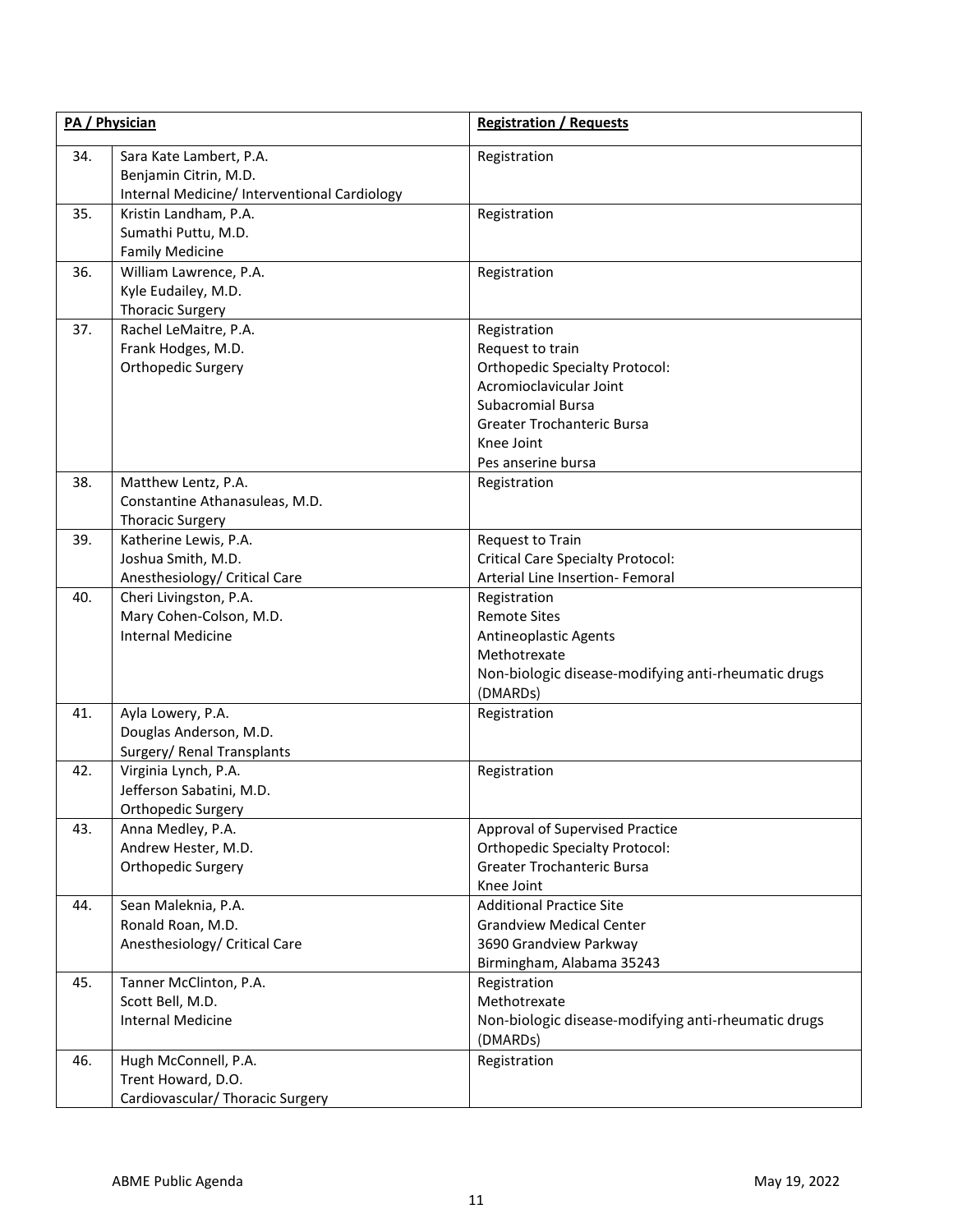| PA / Physician |                                                                                                  | <b>Registration / Requests</b>                                                                                                                                                              |
|----------------|--------------------------------------------------------------------------------------------------|---------------------------------------------------------------------------------------------------------------------------------------------------------------------------------------------|
| 34.            | Sara Kate Lambert, P.A.<br>Benjamin Citrin, M.D.<br>Internal Medicine/ Interventional Cardiology | Registration                                                                                                                                                                                |
| 35.            | Kristin Landham, P.A.<br>Sumathi Puttu, M.D.<br><b>Family Medicine</b>                           | Registration                                                                                                                                                                                |
| 36.            | William Lawrence, P.A.<br>Kyle Eudailey, M.D.<br><b>Thoracic Surgery</b>                         | Registration                                                                                                                                                                                |
| 37.            | Rachel LeMaitre, P.A.<br>Frank Hodges, M.D.<br>Orthopedic Surgery                                | Registration<br>Request to train<br><b>Orthopedic Specialty Protocol:</b><br>Acromioclavicular Joint<br>Subacromial Bursa<br>Greater Trochanteric Bursa<br>Knee Joint<br>Pes anserine bursa |
| 38.            | Matthew Lentz, P.A.<br>Constantine Athanasuleas, M.D.<br><b>Thoracic Surgery</b>                 | Registration                                                                                                                                                                                |
| 39.            | Katherine Lewis, P.A.<br>Joshua Smith, M.D.<br>Anesthesiology/ Critical Care                     | Request to Train<br><b>Critical Care Specialty Protocol:</b><br>Arterial Line Insertion- Femoral                                                                                            |
| 40.            | Cheri Livingston, P.A.<br>Mary Cohen-Colson, M.D.<br><b>Internal Medicine</b>                    | Registration<br><b>Remote Sites</b><br>Antineoplastic Agents<br>Methotrexate<br>Non-biologic disease-modifying anti-rheumatic drugs<br>(DMARDs)                                             |
| 41.            | Ayla Lowery, P.A.<br>Douglas Anderson, M.D.<br>Surgery/ Renal Transplants                        | Registration                                                                                                                                                                                |
| 42.            | Virginia Lynch, P.A.<br>Jefferson Sabatini, M.D.<br>Orthopedic Surgery                           | Registration                                                                                                                                                                                |
| 43.            | Anna Medley, P.A.<br>Andrew Hester, M.D.<br>Orthopedic Surgery                                   | Approval of Supervised Practice<br><b>Orthopedic Specialty Protocol:</b><br>Greater Trochanteric Bursa<br>Knee Joint                                                                        |
| 44.            | Sean Maleknia, P.A.<br>Ronald Roan, M.D.<br>Anesthesiology/ Critical Care                        | <b>Additional Practice Site</b><br><b>Grandview Medical Center</b><br>3690 Grandview Parkway<br>Birmingham, Alabama 35243                                                                   |
| 45.            | Tanner McClinton, P.A.<br>Scott Bell, M.D.<br><b>Internal Medicine</b>                           | Registration<br>Methotrexate<br>Non-biologic disease-modifying anti-rheumatic drugs<br>(DMARDs)                                                                                             |
| 46.            | Hugh McConnell, P.A.<br>Trent Howard, D.O.<br>Cardiovascular/ Thoracic Surgery                   | Registration                                                                                                                                                                                |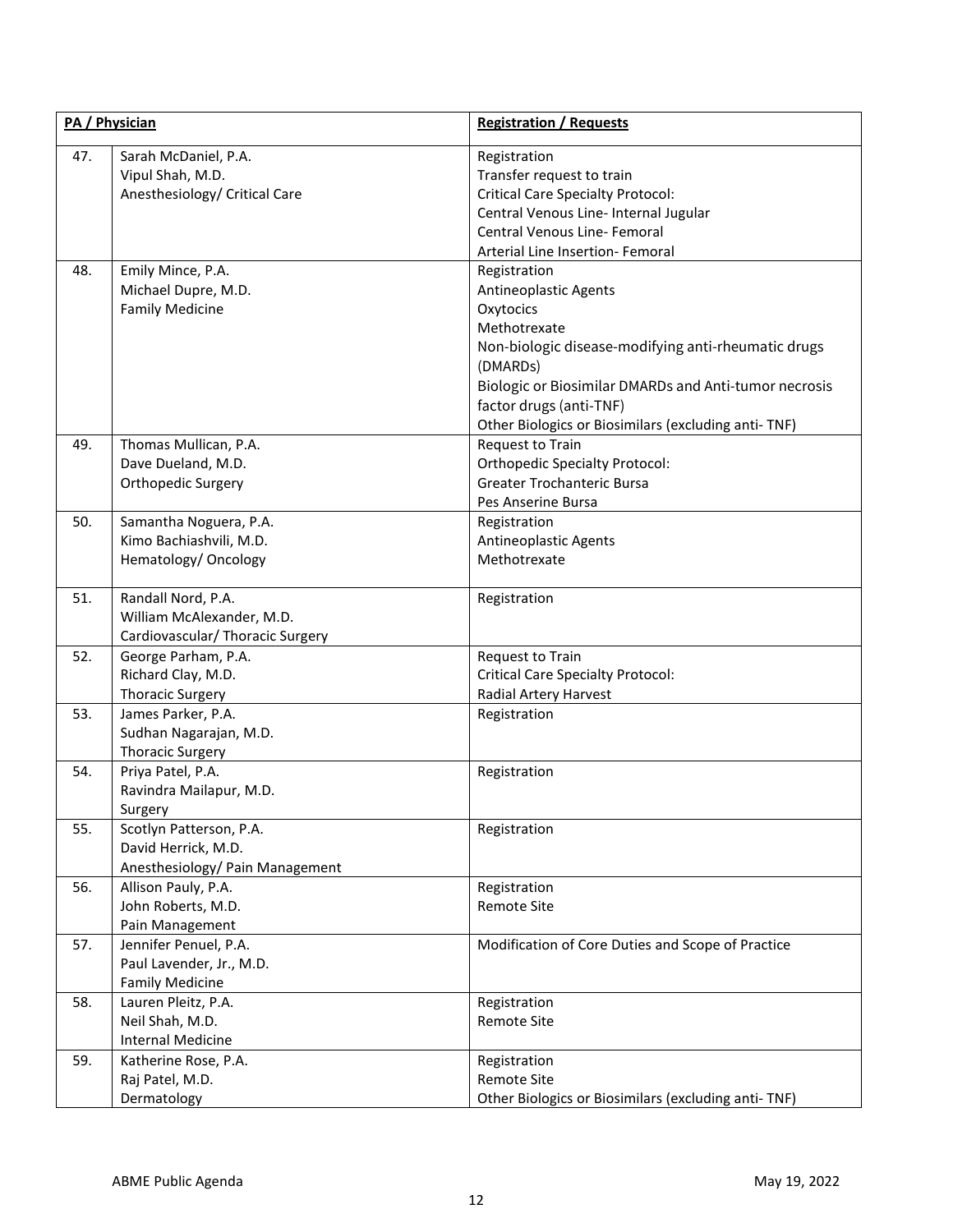| PA / Physician |                                                                                     | <b>Registration / Requests</b>                                                                                                                                                                                                                                                          |
|----------------|-------------------------------------------------------------------------------------|-----------------------------------------------------------------------------------------------------------------------------------------------------------------------------------------------------------------------------------------------------------------------------------------|
| 47.            | Sarah McDaniel, P.A.<br>Vipul Shah, M.D.<br>Anesthesiology/ Critical Care           | Registration<br>Transfer request to train<br><b>Critical Care Specialty Protocol:</b><br>Central Venous Line- Internal Jugular<br>Central Venous Line- Femoral<br>Arterial Line Insertion- Femoral                                                                                      |
| 48.            | Emily Mince, P.A.<br>Michael Dupre, M.D.<br><b>Family Medicine</b>                  | Registration<br><b>Antineoplastic Agents</b><br>Oxytocics<br>Methotrexate<br>Non-biologic disease-modifying anti-rheumatic drugs<br>(DMARDs)<br>Biologic or Biosimilar DMARDs and Anti-tumor necrosis<br>factor drugs (anti-TNF)<br>Other Biologics or Biosimilars (excluding anti-TNF) |
| 49.            | Thomas Mullican, P.A.<br>Dave Dueland, M.D.<br>Orthopedic Surgery                   | Request to Train<br><b>Orthopedic Specialty Protocol:</b><br><b>Greater Trochanteric Bursa</b><br>Pes Anserine Bursa                                                                                                                                                                    |
| 50.            | Samantha Noguera, P.A.<br>Kimo Bachiashvili, M.D.<br>Hematology/ Oncology           | Registration<br><b>Antineoplastic Agents</b><br>Methotrexate                                                                                                                                                                                                                            |
| 51.            | Randall Nord, P.A.<br>William McAlexander, M.D.<br>Cardiovascular/ Thoracic Surgery | Registration                                                                                                                                                                                                                                                                            |
| 52.            | George Parham, P.A.<br>Richard Clay, M.D.<br><b>Thoracic Surgery</b>                | Request to Train<br><b>Critical Care Specialty Protocol:</b><br>Radial Artery Harvest                                                                                                                                                                                                   |
| 53.            | James Parker, P.A.<br>Sudhan Nagarajan, M.D.<br><b>Thoracic Surgery</b>             | Registration                                                                                                                                                                                                                                                                            |
| 54.            | Priya Patel, P.A.<br>Ravindra Mailapur, M.D.<br>Surgery                             | Registration                                                                                                                                                                                                                                                                            |
| 55.            | Scotlyn Patterson, P.A.<br>David Herrick, M.D.<br>Anesthesiology/ Pain Management   | Registration                                                                                                                                                                                                                                                                            |
| 56.            | Allison Pauly, P.A.<br>John Roberts, M.D.<br>Pain Management                        | Registration<br><b>Remote Site</b>                                                                                                                                                                                                                                                      |
| 57.            | Jennifer Penuel, P.A.<br>Paul Lavender, Jr., M.D.<br><b>Family Medicine</b>         | Modification of Core Duties and Scope of Practice                                                                                                                                                                                                                                       |
| 58.            | Lauren Pleitz, P.A.<br>Neil Shah, M.D.<br><b>Internal Medicine</b>                  | Registration<br><b>Remote Site</b>                                                                                                                                                                                                                                                      |
| 59.            | Katherine Rose, P.A.<br>Raj Patel, M.D.<br>Dermatology                              | Registration<br><b>Remote Site</b><br>Other Biologics or Biosimilars (excluding anti-TNF)                                                                                                                                                                                               |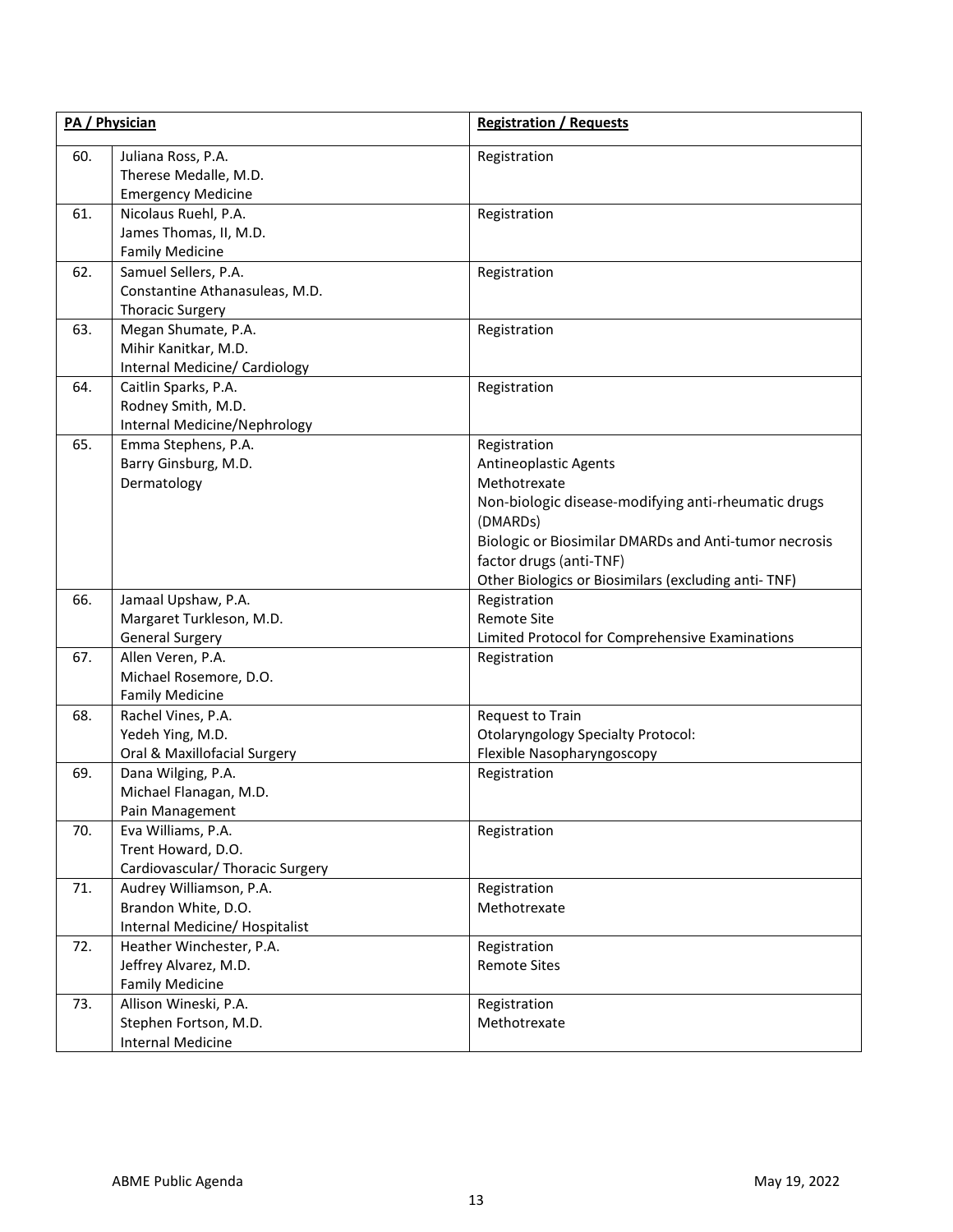| PA / Physician |                                                       | <b>Registration / Requests</b>                        |
|----------------|-------------------------------------------------------|-------------------------------------------------------|
| 60.            | Juliana Ross, P.A.                                    | Registration                                          |
|                | Therese Medalle, M.D.                                 |                                                       |
|                | <b>Emergency Medicine</b>                             |                                                       |
| 61.            | Nicolaus Ruehl, P.A.                                  | Registration                                          |
|                | James Thomas, II, M.D.                                |                                                       |
|                | <b>Family Medicine</b>                                |                                                       |
| 62.            | Samuel Sellers, P.A.                                  | Registration                                          |
|                | Constantine Athanasuleas, M.D.                        |                                                       |
|                | <b>Thoracic Surgery</b>                               |                                                       |
| 63.            | Megan Shumate, P.A.                                   | Registration                                          |
|                | Mihir Kanitkar, M.D.                                  |                                                       |
| 64.            | Internal Medicine/ Cardiology<br>Caitlin Sparks, P.A. | Registration                                          |
|                | Rodney Smith, M.D.                                    |                                                       |
|                | Internal Medicine/Nephrology                          |                                                       |
| 65.            | Emma Stephens, P.A.                                   | Registration                                          |
|                | Barry Ginsburg, M.D.                                  | Antineoplastic Agents                                 |
|                | Dermatology                                           | Methotrexate                                          |
|                |                                                       | Non-biologic disease-modifying anti-rheumatic drugs   |
|                |                                                       | (DMARDs)                                              |
|                |                                                       | Biologic or Biosimilar DMARDs and Anti-tumor necrosis |
|                |                                                       | factor drugs (anti-TNF)                               |
|                |                                                       | Other Biologics or Biosimilars (excluding anti-TNF)   |
| 66.            | Jamaal Upshaw, P.A.                                   | Registration                                          |
|                | Margaret Turkleson, M.D.                              | <b>Remote Site</b>                                    |
|                | <b>General Surgery</b>                                | Limited Protocol for Comprehensive Examinations       |
| 67.            | Allen Veren, P.A.                                     | Registration                                          |
|                | Michael Rosemore, D.O.                                |                                                       |
|                | <b>Family Medicine</b>                                |                                                       |
| 68.            | Rachel Vines, P.A.                                    | Request to Train                                      |
|                | Yedeh Ying, M.D.                                      | <b>Otolaryngology Specialty Protocol:</b>             |
|                | Oral & Maxillofacial Surgery                          | Flexible Nasopharyngoscopy                            |
| 69.            | Dana Wilging, P.A.                                    | Registration                                          |
|                | Michael Flanagan, M.D.                                |                                                       |
|                | Pain Management                                       |                                                       |
| 70.            | Eva Williams, P.A.                                    | Registration                                          |
|                | Trent Howard, D.O.                                    |                                                       |
|                | Cardiovascular/ Thoracic Surgery                      |                                                       |
| 71.            | Audrey Williamson, P.A.<br>Brandon White, D.O.        | Registration<br>Methotrexate                          |
|                | Internal Medicine/ Hospitalist                        |                                                       |
| 72.            | Heather Winchester, P.A.                              | Registration                                          |
|                | Jeffrey Alvarez, M.D.                                 | <b>Remote Sites</b>                                   |
|                | <b>Family Medicine</b>                                |                                                       |
| 73.            | Allison Wineski, P.A.                                 | Registration                                          |
|                | Stephen Fortson, M.D.                                 | Methotrexate                                          |
|                | <b>Internal Medicine</b>                              |                                                       |
|                |                                                       |                                                       |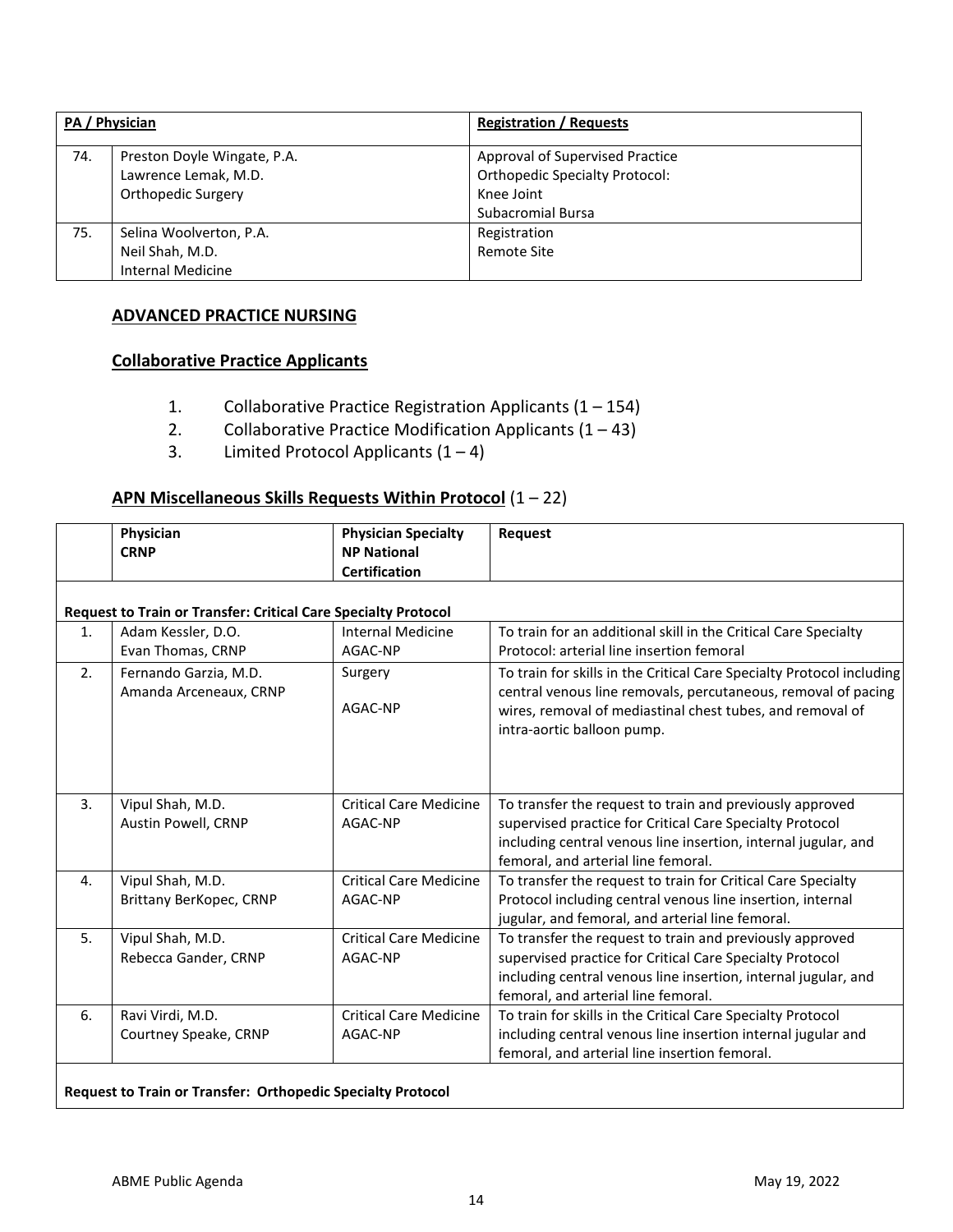| PA / Physician |                             | <b>Registration / Requests</b>        |
|----------------|-----------------------------|---------------------------------------|
| 74.            | Preston Doyle Wingate, P.A. | Approval of Supervised Practice       |
|                | Lawrence Lemak, M.D.        | <b>Orthopedic Specialty Protocol:</b> |
|                | Orthopedic Surgery          | Knee Joint                            |
|                |                             | <b>Subacromial Bursa</b>              |
| 75.            | Selina Woolverton, P.A.     | Registration                          |
|                | Neil Shah, M.D.             | Remote Site                           |
|                | <b>Internal Medicine</b>    |                                       |

# **ADVANCED PRACTICE NURSING**

## **Collaborative Practice Applicants**

- 1. Collaborative Practice Registration Applicants (1 154)
- 2. Collaborative Practice Modification Applicants  $(1 43)$
- 3. Limited Protocol Applicants  $(1 4)$

# **APN Miscellaneous Skills Requests Within Protocol** (1 – 22)

|                | Physician<br><b>CRNP</b>                                              | <b>Physician Specialty</b><br><b>NP National</b><br><b>Certification</b> | Request                                                                                                                                                                                                                           |
|----------------|-----------------------------------------------------------------------|--------------------------------------------------------------------------|-----------------------------------------------------------------------------------------------------------------------------------------------------------------------------------------------------------------------------------|
|                | <b>Request to Train or Transfer: Critical Care Specialty Protocol</b> |                                                                          |                                                                                                                                                                                                                                   |
| $\mathbf{1}$ . | Adam Kessler, D.O.<br>Evan Thomas, CRNP                               | <b>Internal Medicine</b><br>AGAC-NP                                      | To train for an additional skill in the Critical Care Specialty<br>Protocol: arterial line insertion femoral                                                                                                                      |
| 2.             | Fernando Garzia, M.D.<br>Amanda Arceneaux, CRNP                       | Surgery<br>AGAC-NP                                                       | To train for skills in the Critical Care Specialty Protocol including<br>central venous line removals, percutaneous, removal of pacing<br>wires, removal of mediastinal chest tubes, and removal of<br>intra-aortic balloon pump. |
| 3.             | Vipul Shah, M.D.<br>Austin Powell, CRNP                               | <b>Critical Care Medicine</b><br>AGAC-NP                                 | To transfer the request to train and previously approved<br>supervised practice for Critical Care Specialty Protocol<br>including central venous line insertion, internal jugular, and<br>femoral, and arterial line femoral.     |
| 4.             | Vipul Shah, M.D.<br>Brittany BerKopec, CRNP                           | <b>Critical Care Medicine</b><br>AGAC-NP                                 | To transfer the request to train for Critical Care Specialty<br>Protocol including central venous line insertion, internal<br>jugular, and femoral, and arterial line femoral.                                                    |
| 5.             | Vipul Shah, M.D.<br>Rebecca Gander, CRNP                              | <b>Critical Care Medicine</b><br>AGAC-NP                                 | To transfer the request to train and previously approved<br>supervised practice for Critical Care Specialty Protocol<br>including central venous line insertion, internal jugular, and<br>femoral, and arterial line femoral.     |
| 6.             | Ravi Virdi, M.D.<br>Courtney Speake, CRNP                             | <b>Critical Care Medicine</b><br>AGAC-NP                                 | To train for skills in the Critical Care Specialty Protocol<br>including central venous line insertion internal jugular and<br>femoral, and arterial line insertion femoral.                                                      |

## **Request to Train or Transfer: Orthopedic Specialty Protocol**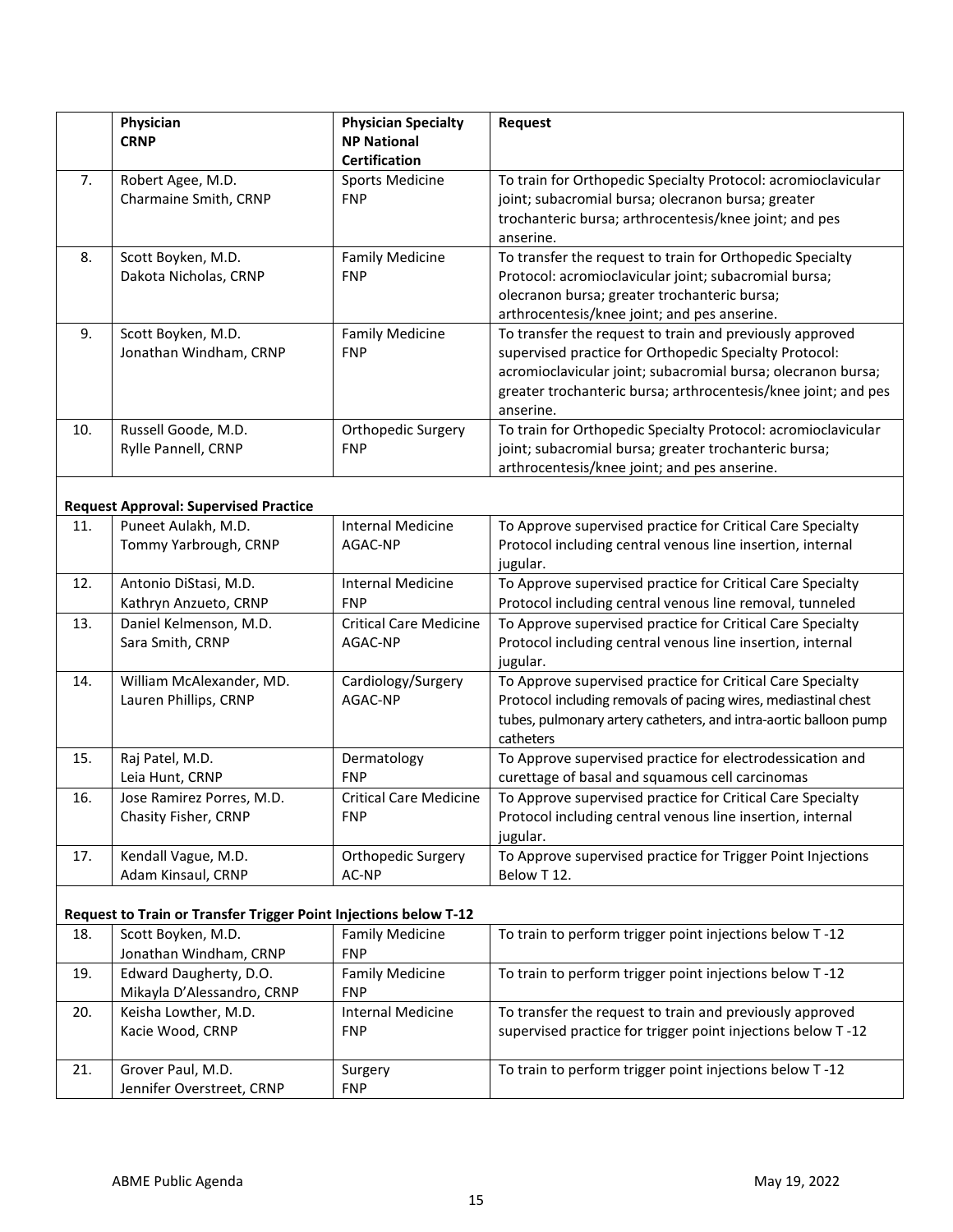|     | Physician<br><b>CRNP</b>                                         | <b>Physician Specialty</b><br><b>NP National</b>             | Request                                                                                                                                                                                                                                                           |
|-----|------------------------------------------------------------------|--------------------------------------------------------------|-------------------------------------------------------------------------------------------------------------------------------------------------------------------------------------------------------------------------------------------------------------------|
| 7.  | Robert Agee, M.D.<br>Charmaine Smith, CRNP                       | <b>Certification</b><br><b>Sports Medicine</b><br><b>FNP</b> | To train for Orthopedic Specialty Protocol: acromioclavicular<br>joint; subacromial bursa; olecranon bursa; greater<br>trochanteric bursa; arthrocentesis/knee joint; and pes<br>anserine.                                                                        |
| 8.  | Scott Boyken, M.D.<br>Dakota Nicholas, CRNP                      | <b>Family Medicine</b><br><b>FNP</b>                         | To transfer the request to train for Orthopedic Specialty<br>Protocol: acromioclavicular joint; subacromial bursa;<br>olecranon bursa; greater trochanteric bursa;<br>arthrocentesis/knee joint; and pes anserine.                                                |
| 9.  | Scott Boyken, M.D.<br>Jonathan Windham, CRNP                     | <b>Family Medicine</b><br><b>FNP</b>                         | To transfer the request to train and previously approved<br>supervised practice for Orthopedic Specialty Protocol:<br>acromioclavicular joint; subacromial bursa; olecranon bursa;<br>greater trochanteric bursa; arthrocentesis/knee joint; and pes<br>anserine. |
| 10. | Russell Goode, M.D.<br>Rylle Pannell, CRNP                       | Orthopedic Surgery<br><b>FNP</b>                             | To train for Orthopedic Specialty Protocol: acromioclavicular<br>joint; subacromial bursa; greater trochanteric bursa;<br>arthrocentesis/knee joint; and pes anserine.                                                                                            |
|     | <b>Request Approval: Supervised Practice</b>                     |                                                              |                                                                                                                                                                                                                                                                   |
| 11. | Puneet Aulakh, M.D.<br>Tommy Yarbrough, CRNP                     | <b>Internal Medicine</b><br>AGAC-NP                          | To Approve supervised practice for Critical Care Specialty<br>Protocol including central venous line insertion, internal<br>jugular.                                                                                                                              |
| 12. | Antonio DiStasi, M.D.<br>Kathryn Anzueto, CRNP                   | <b>Internal Medicine</b><br><b>FNP</b>                       | To Approve supervised practice for Critical Care Specialty<br>Protocol including central venous line removal, tunneled                                                                                                                                            |
| 13. | Daniel Kelmenson, M.D.<br>Sara Smith, CRNP                       | <b>Critical Care Medicine</b><br>AGAC-NP                     | To Approve supervised practice for Critical Care Specialty<br>Protocol including central venous line insertion, internal<br>jugular.                                                                                                                              |
| 14. | William McAlexander, MD.<br>Lauren Phillips, CRNP                | Cardiology/Surgery<br>AGAC-NP                                | To Approve supervised practice for Critical Care Specialty<br>Protocol including removals of pacing wires, mediastinal chest<br>tubes, pulmonary artery catheters, and intra-aortic balloon pump<br>catheters                                                     |
| 15. | Raj Patel, M.D.<br>Leia Hunt, CRNP                               | Dermatology<br><b>FNP</b>                                    | To Approve supervised practice for electrodessication and<br>curettage of basal and squamous cell carcinomas                                                                                                                                                      |
| 16. | Jose Ramirez Porres, M.D.<br>Chasity Fisher, CRNP                | <b>Critical Care Medicine</b><br><b>FNP</b>                  | To Approve supervised practice for Critical Care Specialty<br>Protocol including central venous line insertion, internal<br>jugular.                                                                                                                              |
| 17. | Kendall Vague, M.D.<br>Adam Kinsaul, CRNP                        | Orthopedic Surgery<br>AC-NP                                  | To Approve supervised practice for Trigger Point Injections<br>Below T12.                                                                                                                                                                                         |
|     | Request to Train or Transfer Trigger Point Injections below T-12 |                                                              |                                                                                                                                                                                                                                                                   |
| 18. | Scott Boyken, M.D.<br>Jonathan Windham, CRNP                     | <b>Family Medicine</b><br><b>FNP</b>                         | To train to perform trigger point injections below T-12                                                                                                                                                                                                           |
| 19. | Edward Daugherty, D.O.<br>Mikayla D'Alessandro, CRNP             | <b>Family Medicine</b><br><b>FNP</b>                         | To train to perform trigger point injections below T-12                                                                                                                                                                                                           |
| 20. | Keisha Lowther, M.D.<br>Kacie Wood, CRNP                         | <b>Internal Medicine</b><br><b>FNP</b>                       | To transfer the request to train and previously approved<br>supervised practice for trigger point injections below T-12                                                                                                                                           |
| 21. | Grover Paul, M.D.                                                | Surgery                                                      | To train to perform trigger point injections below T-12                                                                                                                                                                                                           |

Jennifer Overstreet, CRNP

Surgery FNP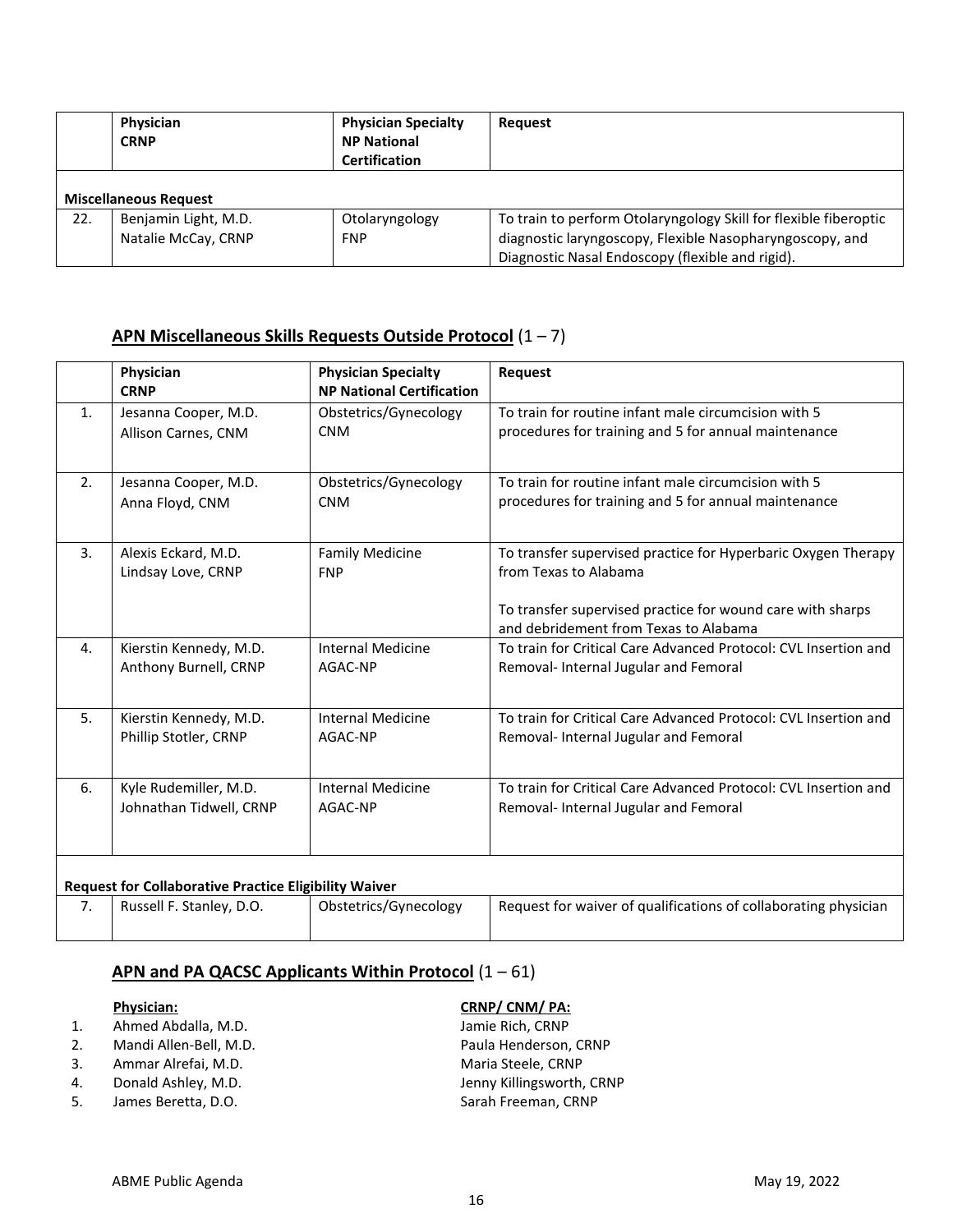|     | Physician<br><b>CRNP</b>                    | <b>Physician Specialty</b><br><b>NP National</b><br><b>Certification</b> | Request                                                                                                                                                                          |
|-----|---------------------------------------------|--------------------------------------------------------------------------|----------------------------------------------------------------------------------------------------------------------------------------------------------------------------------|
|     | <b>Miscellaneous Request</b>                |                                                                          |                                                                                                                                                                                  |
| 22. | Benjamin Light, M.D.<br>Natalie McCay, CRNP | Otolaryngology<br><b>FNP</b>                                             | To train to perform Otolaryngology Skill for flexible fiberoptic<br>diagnostic laryngoscopy, Flexible Nasopharyngoscopy, and<br>Diagnostic Nasal Endoscopy (flexible and rigid). |

# **APN Miscellaneous Skills Requests Outside Protocol** (1 – 7)

|    | Physician<br><b>CRNP</b>                                     | <b>Physician Specialty</b><br><b>NP National Certification</b> | Request                                                                                                                                                                                       |
|----|--------------------------------------------------------------|----------------------------------------------------------------|-----------------------------------------------------------------------------------------------------------------------------------------------------------------------------------------------|
| 1. | Jesanna Cooper, M.D.                                         | Obstetrics/Gynecology                                          | To train for routine infant male circumcision with 5                                                                                                                                          |
|    | Allison Carnes, CNM                                          | <b>CNM</b>                                                     | procedures for training and 5 for annual maintenance                                                                                                                                          |
| 2. | Jesanna Cooper, M.D.                                         | Obstetrics/Gynecology                                          | To train for routine infant male circumcision with 5                                                                                                                                          |
|    | Anna Floyd, CNM                                              | <b>CNM</b>                                                     | procedures for training and 5 for annual maintenance                                                                                                                                          |
| 3. | Alexis Eckard, M.D.<br>Lindsay Love, CRNP                    | <b>Family Medicine</b><br><b>FNP</b>                           | To transfer supervised practice for Hyperbaric Oxygen Therapy<br>from Texas to Alabama<br>To transfer supervised practice for wound care with sharps<br>and debridement from Texas to Alabama |
| 4. | Kierstin Kennedy, M.D.                                       | <b>Internal Medicine</b>                                       | To train for Critical Care Advanced Protocol: CVL Insertion and                                                                                                                               |
|    | Anthony Burnell, CRNP                                        | AGAC-NP                                                        | Removal- Internal Jugular and Femoral                                                                                                                                                         |
| 5. | Kierstin Kennedy, M.D.                                       | <b>Internal Medicine</b>                                       | To train for Critical Care Advanced Protocol: CVL Insertion and                                                                                                                               |
|    | Phillip Stotler, CRNP                                        | AGAC-NP                                                        | Removal- Internal Jugular and Femoral                                                                                                                                                         |
| 6. | Kyle Rudemiller, M.D.                                        | <b>Internal Medicine</b>                                       | To train for Critical Care Advanced Protocol: CVL Insertion and                                                                                                                               |
|    | Johnathan Tidwell, CRNP                                      | AGAC-NP                                                        | Removal-Internal Jugular and Femoral                                                                                                                                                          |
|    | <b>Request for Collaborative Practice Eligibility Waiver</b> |                                                                |                                                                                                                                                                                               |
| 7. | Russell F. Stanley, D.O.                                     | Obstetrics/Gynecology                                          | Request for waiver of qualifications of collaborating physician                                                                                                                               |

# **APN and PA QACSC Applicants Within Protocol** (1 – 61)

- 1. Ahmed Abdalla, M.D. Jamie Rich, CRNP
- 
- 3. Ammar Alrefai, M.D. Maria Steele, CRNP
- 
- 5. James Beretta, D.O. Sarah Freeman, CRNP

### **Physician: CRNP/ CNM/ PA:**

2. Mandi Allen-Bell, M.D. example a series of the Paula Henderson, CRNP 4. Donald Ashley, M.D. Same Connection of the United States of Henry Killingsworth, CRNP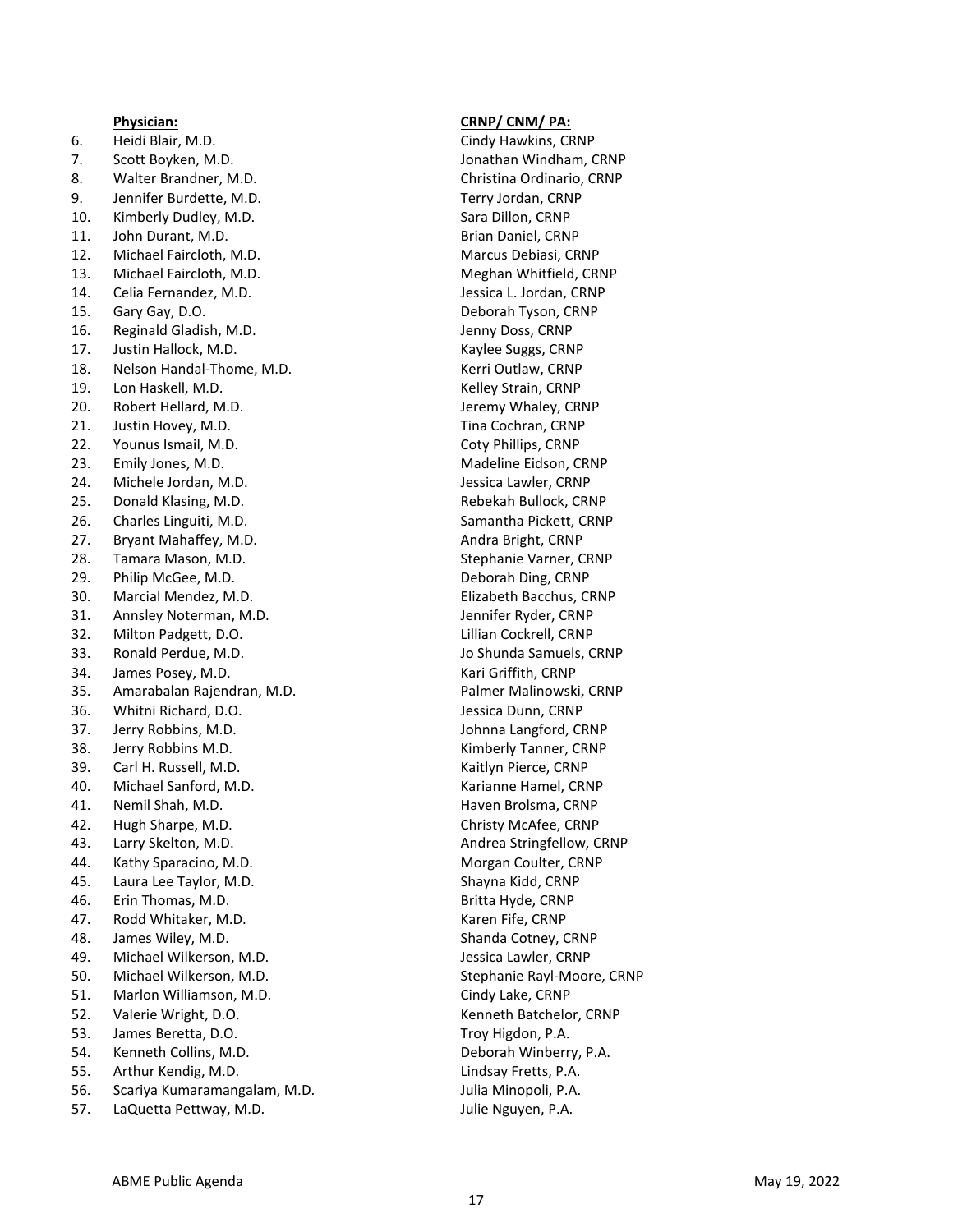6. Heidi Blair, M . D 7. Scott Boyken, M . D 8. Walter Brandner, M . D 9. Jennifer Burdette, M . D 10. Kimberly Dudley, M . D 11. John Durant, M . D 12. Michael Faircloth, M . D 13. Michael Faircloth, M . D 14. Celia Fernandez, M . D 15. Gary Gay, D . O 16. Reginald Gladish, M . D 17. Justin Hallock, M . D 18. Nelson Handal -Thome, M . D 19. Lon Haskell, M . D 20. Robert Hellard, M . D 21. Justin Hovey, M . D 22. Younus Ismail, M . D 23. Emily Jones, M . D 24. Michele Jordan, M . D 25. Donald Klasing, M . D 26. Charles Linguiti, M . D 27. Bryant Mahaffey, M . D 28. Tamara Mason, M . D 29. Philip McGee, M . D 30. Marcial Mendez, M . D 31. Annsley Noterman, M . D 32. Milton Padgett, D . O 33. Ronald Perdue, M . D 34. James Posey, M . D 35. Amarabalan Rajendran, M . D 36. Whitni Richard, D . O 37. Jerry Robbins, M . D 38. Jerry Robbins M . D 39. Carl H. Russell, M . D 40. Michael Sanford, M . D 41. Nemil Shah, M . D 42. Hugh Sharpe, M . D 43. Larry Skelton, M . D 44. Kathy Sparacino, M . D 45. Laura Lee Taylor, M . D 46. Erin Thomas, M . D 47. Rodd Whitaker, M . D 48. James Wiley, M . D 49. Michael Wilkerson, M . D 50. Michael Wilkerson, M . D 51. Marlon Williamson, M . D 52. Valerie Wright, D . O 53. James Beretta, D . O 54. Kenneth Collins, M . D 55. Arthur Kendig, M . D 56. Scariya Kumaramangalam, M . D 57. LaQuetta Pettway, M . D

#### **Physician: CRNP/ CNM/ PA:**

. Cindy Hawkins, CRNP . Jonathan Windham, CRNP . Christina Ordinario, CRNP . Terry Jordan, CRNP Sara Dillon, CRNP . Brian Daniel, CRNP . Marcus Debiasi, CRNP . Meghan Whitfield, CRNP . Jessica L. Jordan, CRNP . Deborah Tyson, CRNP . Jenny Doss, CRNP . Kaylee Suggs, CRNP . Kerri Outlaw, CRNP . Kelley Strain, CRNP . Jeremy Whaley, CRNP . Tina Cochran, CRNP . Coty Phillips, CRNP . Madeline Eidson, CRNP . Jessica Lawler, CRNP . Rebekah Bullock, CRNP . Samantha Pickett, CRNP . Andra Bright, CRNP . Stephanie Varner, CRNP . Deborah Ding, CRNP . Elizabeth Bacchus, CRNP . Jennifer Ryder, CRNP . Lillian Cockrell, CRNP . Jo Shunda Samuels, CRNP . Kari Griffith, CRNP . Palmer Malinowski, CRNP . Jessica Dunn, CRNP . Johnna Langford, CRNP . Kimberly Tanner, CRNP . Kaitlyn Pierce, CRNP . Karianne Hamel, CRNP . Haven Brolsma, CRNP . Christy McAfee, CRNP . Andrea Stringfellow, CRNP . Morgan Coulter, CRNP . Shayna Kidd, CRNP . Britta Hyde, CRNP . Karen Fife, CRNP . Shanda Cotney, CRNP . Jessica Lawler, CRNP . Stephanie Rayl -Moore, CRNP . Cindy Lake, CRNP . Kenneth Batchelor, CRNP . Troy Higdon, P . A . . Deborah Winberry, P . A . . Lindsay Fretts, P . A . . Julia Minopoli, P . A . . Julie Nguyen, P . A .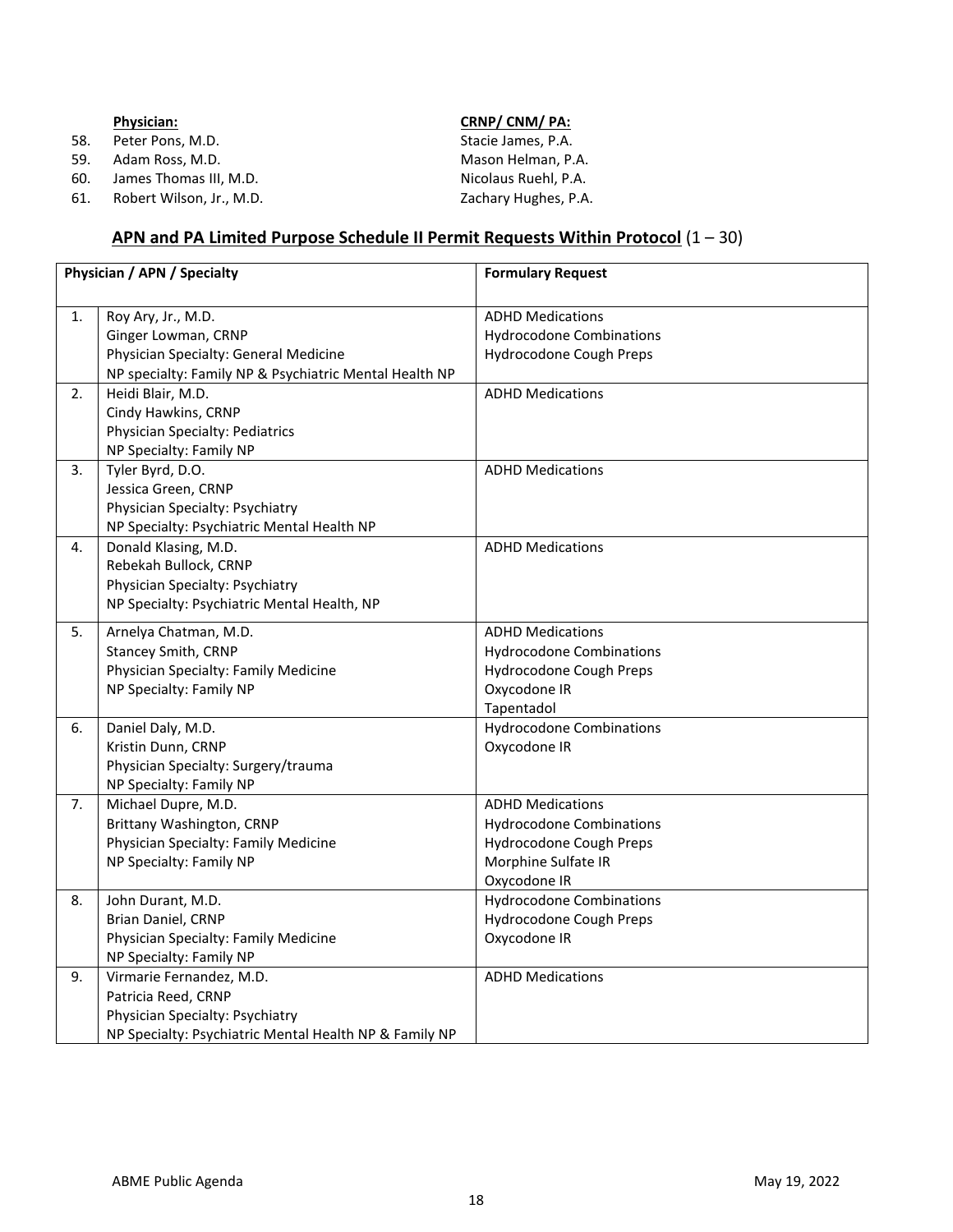### ABME Public Agenda May 19, 2022

|     | <b>Physician:</b> | CRNP/ CNM/ PA:     |  |
|-----|-------------------|--------------------|--|
| 58. | Peter Pons, M.D.  | Stacie James, P.A. |  |
| 59. | Adam Ross. M.D.   | Mason Helman, P.   |  |

61. Robert Wilson, Jr., M.D. Zachary Hughes, P.A.

#### **Physician: CRNP/ CNM/ PA:**

Adam Ross, M.D. Mason Helman, P.A. 60. James Thomas III, M.D. Nicolaus Ruehl, P.A.

# **APN and PA Limited Purpose Schedule II Permit Requests Within Protocol** (1 – 30)

| Physician / APN / Specialty |                                                                                                                                              | <b>Formulary Request</b>                                                                                                     |
|-----------------------------|----------------------------------------------------------------------------------------------------------------------------------------------|------------------------------------------------------------------------------------------------------------------------------|
| 1.                          | Roy Ary, Jr., M.D.<br>Ginger Lowman, CRNP<br>Physician Specialty: General Medicine<br>NP specialty: Family NP & Psychiatric Mental Health NP | <b>ADHD Medications</b><br><b>Hydrocodone Combinations</b><br>Hydrocodone Cough Preps                                        |
| 2.                          | Heidi Blair, M.D.<br>Cindy Hawkins, CRNP<br>Physician Specialty: Pediatrics<br>NP Specialty: Family NP                                       | <b>ADHD Medications</b>                                                                                                      |
| 3.                          | Tyler Byrd, D.O.<br>Jessica Green, CRNP<br>Physician Specialty: Psychiatry<br>NP Specialty: Psychiatric Mental Health NP                     | <b>ADHD Medications</b>                                                                                                      |
| 4.                          | Donald Klasing, M.D.<br>Rebekah Bullock, CRNP<br>Physician Specialty: Psychiatry<br>NP Specialty: Psychiatric Mental Health, NP              | <b>ADHD Medications</b>                                                                                                      |
| 5.                          | Arnelya Chatman, M.D.<br>Stancey Smith, CRNP<br>Physician Specialty: Family Medicine<br>NP Specialty: Family NP                              | <b>ADHD Medications</b><br><b>Hydrocodone Combinations</b><br>Hydrocodone Cough Preps<br>Oxycodone IR<br>Tapentadol          |
| 6.                          | Daniel Daly, M.D.<br>Kristin Dunn, CRNP<br>Physician Specialty: Surgery/trauma<br>NP Specialty: Family NP                                    | <b>Hydrocodone Combinations</b><br>Oxycodone IR                                                                              |
| 7.                          | Michael Dupre, M.D.<br>Brittany Washington, CRNP<br>Physician Specialty: Family Medicine<br>NP Specialty: Family NP                          | <b>ADHD Medications</b><br><b>Hydrocodone Combinations</b><br>Hydrocodone Cough Preps<br>Morphine Sulfate IR<br>Oxycodone IR |
| 8.                          | John Durant, M.D.<br>Brian Daniel, CRNP<br>Physician Specialty: Family Medicine<br>NP Specialty: Family NP                                   | <b>Hydrocodone Combinations</b><br>Hydrocodone Cough Preps<br>Oxycodone IR                                                   |
| 9.                          | Virmarie Fernandez, M.D.<br>Patricia Reed, CRNP<br>Physician Specialty: Psychiatry<br>NP Specialty: Psychiatric Mental Health NP & Family NP | <b>ADHD Medications</b>                                                                                                      |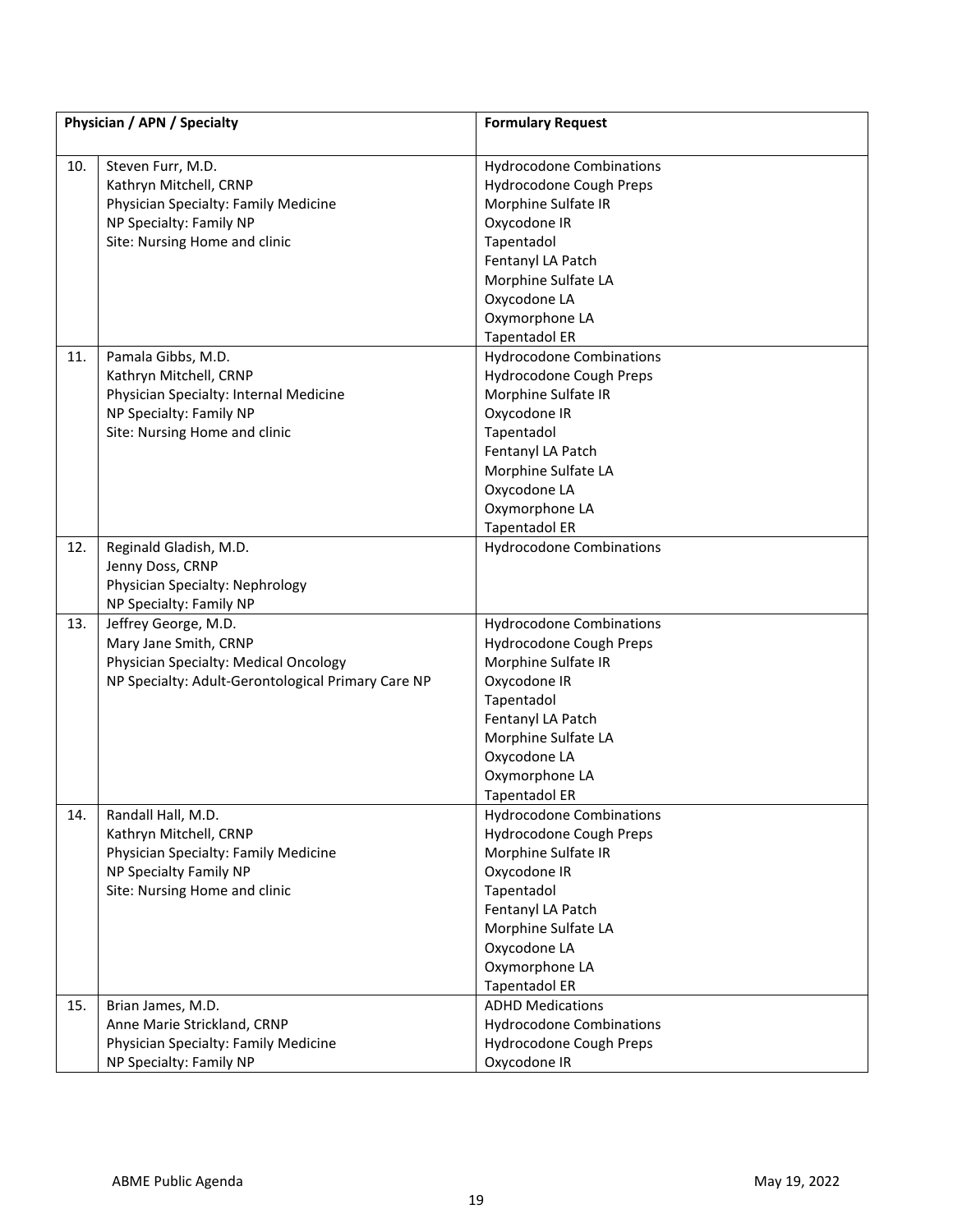| Physician / APN / Specialty |                                                    | <b>Formulary Request</b>        |
|-----------------------------|----------------------------------------------------|---------------------------------|
| 10.                         | Steven Furr, M.D.                                  | <b>Hydrocodone Combinations</b> |
|                             | Kathryn Mitchell, CRNP                             | Hydrocodone Cough Preps         |
|                             | Physician Specialty: Family Medicine               | Morphine Sulfate IR             |
|                             | NP Specialty: Family NP                            | Oxycodone IR                    |
|                             | Site: Nursing Home and clinic                      | Tapentadol                      |
|                             |                                                    | Fentanyl LA Patch               |
|                             |                                                    | Morphine Sulfate LA             |
|                             |                                                    | Oxycodone LA                    |
|                             |                                                    | Oxymorphone LA                  |
|                             |                                                    | <b>Tapentadol ER</b>            |
| 11.                         | Pamala Gibbs, M.D.                                 | <b>Hydrocodone Combinations</b> |
|                             | Kathryn Mitchell, CRNP                             | Hydrocodone Cough Preps         |
|                             | Physician Specialty: Internal Medicine             | Morphine Sulfate IR             |
|                             | NP Specialty: Family NP                            | Oxycodone IR                    |
|                             | Site: Nursing Home and clinic                      | Tapentadol                      |
|                             |                                                    | Fentanyl LA Patch               |
|                             |                                                    | Morphine Sulfate LA             |
|                             |                                                    | Oxycodone LA                    |
|                             |                                                    | Oxymorphone LA                  |
|                             |                                                    | <b>Tapentadol ER</b>            |
| 12.                         | Reginald Gladish, M.D.                             | <b>Hydrocodone Combinations</b> |
|                             | Jenny Doss, CRNP                                   |                                 |
|                             | Physician Specialty: Nephrology                    |                                 |
|                             | NP Specialty: Family NP                            |                                 |
| 13.                         | Jeffrey George, M.D.                               | <b>Hydrocodone Combinations</b> |
|                             | Mary Jane Smith, CRNP                              | Hydrocodone Cough Preps         |
|                             | Physician Specialty: Medical Oncology              | Morphine Sulfate IR             |
|                             | NP Specialty: Adult-Gerontological Primary Care NP | Oxycodone IR                    |
|                             |                                                    | Tapentadol                      |
|                             |                                                    | Fentanyl LA Patch               |
|                             |                                                    | Morphine Sulfate LA             |
|                             |                                                    | Oxycodone LA                    |
|                             |                                                    | Oxymorphone LA                  |
|                             |                                                    | <b>Tapentadol ER</b>            |
| 14.                         | Randall Hall, M.D.                                 | <b>Hydrocodone Combinations</b> |
|                             | Kathryn Mitchell, CRNP                             | Hydrocodone Cough Preps         |
|                             | Physician Specialty: Family Medicine               | Morphine Sulfate IR             |
|                             | NP Specialty Family NP                             | Oxycodone IR                    |
|                             | Site: Nursing Home and clinic                      | Tapentadol                      |
|                             |                                                    | Fentanyl LA Patch               |
|                             |                                                    | Morphine Sulfate LA             |
|                             |                                                    | Oxycodone LA                    |
|                             |                                                    | Oxymorphone LA                  |
|                             |                                                    | <b>Tapentadol ER</b>            |
| 15.                         | Brian James, M.D.                                  | <b>ADHD Medications</b>         |
|                             | Anne Marie Strickland, CRNP                        | <b>Hydrocodone Combinations</b> |
|                             | Physician Specialty: Family Medicine               | Hydrocodone Cough Preps         |
|                             | NP Specialty: Family NP                            | Oxycodone IR                    |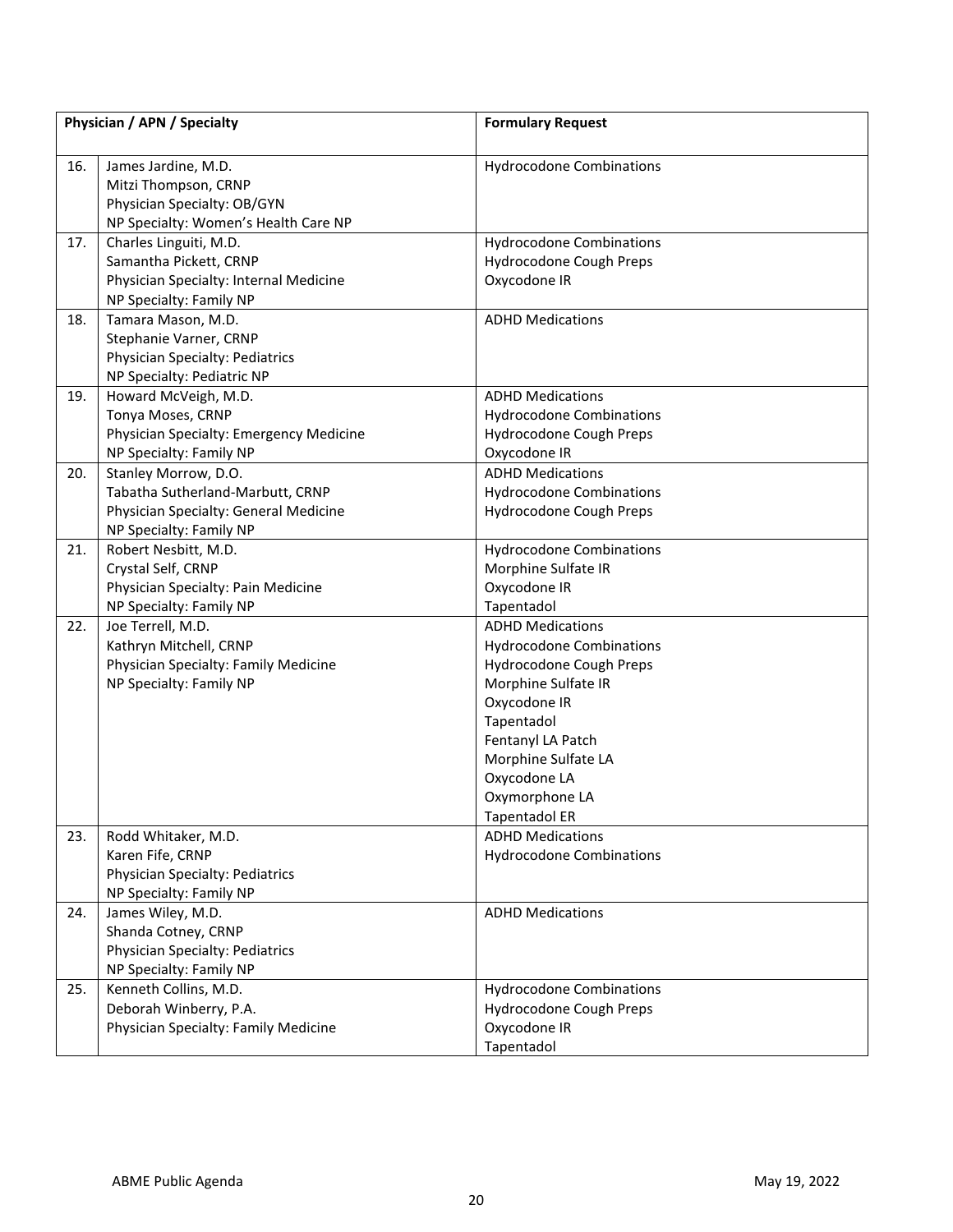| Physician / APN / Specialty |                                         | <b>Formulary Request</b>        |
|-----------------------------|-----------------------------------------|---------------------------------|
|                             |                                         |                                 |
| 16.                         | James Jardine, M.D.                     | <b>Hydrocodone Combinations</b> |
|                             | Mitzi Thompson, CRNP                    |                                 |
|                             | Physician Specialty: OB/GYN             |                                 |
|                             | NP Specialty: Women's Health Care NP    |                                 |
| 17.                         | Charles Linguiti, M.D.                  | <b>Hydrocodone Combinations</b> |
|                             | Samantha Pickett, CRNP                  | Hydrocodone Cough Preps         |
|                             | Physician Specialty: Internal Medicine  | Oxycodone IR                    |
|                             | NP Specialty: Family NP                 |                                 |
| 18.                         | Tamara Mason, M.D.                      | <b>ADHD Medications</b>         |
|                             | Stephanie Varner, CRNP                  |                                 |
|                             | Physician Specialty: Pediatrics         |                                 |
|                             | NP Specialty: Pediatric NP              |                                 |
| 19.                         | Howard McVeigh, M.D.                    | <b>ADHD Medications</b>         |
|                             | Tonya Moses, CRNP                       | <b>Hydrocodone Combinations</b> |
|                             | Physician Specialty: Emergency Medicine | Hydrocodone Cough Preps         |
|                             | NP Specialty: Family NP                 | Oxycodone IR                    |
| 20.                         | Stanley Morrow, D.O.                    | <b>ADHD Medications</b>         |
|                             | Tabatha Sutherland-Marbutt, CRNP        | <b>Hydrocodone Combinations</b> |
|                             | Physician Specialty: General Medicine   | Hydrocodone Cough Preps         |
|                             | NP Specialty: Family NP                 |                                 |
| 21.                         | Robert Nesbitt, M.D.                    | <b>Hydrocodone Combinations</b> |
|                             | Crystal Self, CRNP                      | Morphine Sulfate IR             |
|                             | Physician Specialty: Pain Medicine      | Oxycodone IR                    |
|                             | NP Specialty: Family NP                 | Tapentadol                      |
| 22.                         | Joe Terrell, M.D.                       | <b>ADHD Medications</b>         |
|                             | Kathryn Mitchell, CRNP                  | <b>Hydrocodone Combinations</b> |
|                             | Physician Specialty: Family Medicine    | Hydrocodone Cough Preps         |
|                             | NP Specialty: Family NP                 | Morphine Sulfate IR             |
|                             |                                         | Oxycodone IR                    |
|                             |                                         | Tapentadol                      |
|                             |                                         | Fentanyl LA Patch               |
|                             |                                         | Morphine Sulfate LA             |
|                             |                                         | Oxycodone LA                    |
|                             |                                         | Oxymorphone LA                  |
|                             |                                         | <b>Tapentadol ER</b>            |
| 23.                         | Rodd Whitaker, M.D.                     | <b>ADHD Medications</b>         |
|                             | Karen Fife, CRNP                        | <b>Hydrocodone Combinations</b> |
|                             | Physician Specialty: Pediatrics         |                                 |
|                             | NP Specialty: Family NP                 |                                 |
| 24.                         | James Wiley, M.D.                       | <b>ADHD Medications</b>         |
|                             | Shanda Cotney, CRNP                     |                                 |
|                             | Physician Specialty: Pediatrics         |                                 |
|                             | NP Specialty: Family NP                 |                                 |
| 25.                         | Kenneth Collins, M.D.                   | <b>Hydrocodone Combinations</b> |
|                             | Deborah Winberry, P.A.                  | Hydrocodone Cough Preps         |
|                             | Physician Specialty: Family Medicine    | Oxycodone IR                    |
|                             |                                         | Tapentadol                      |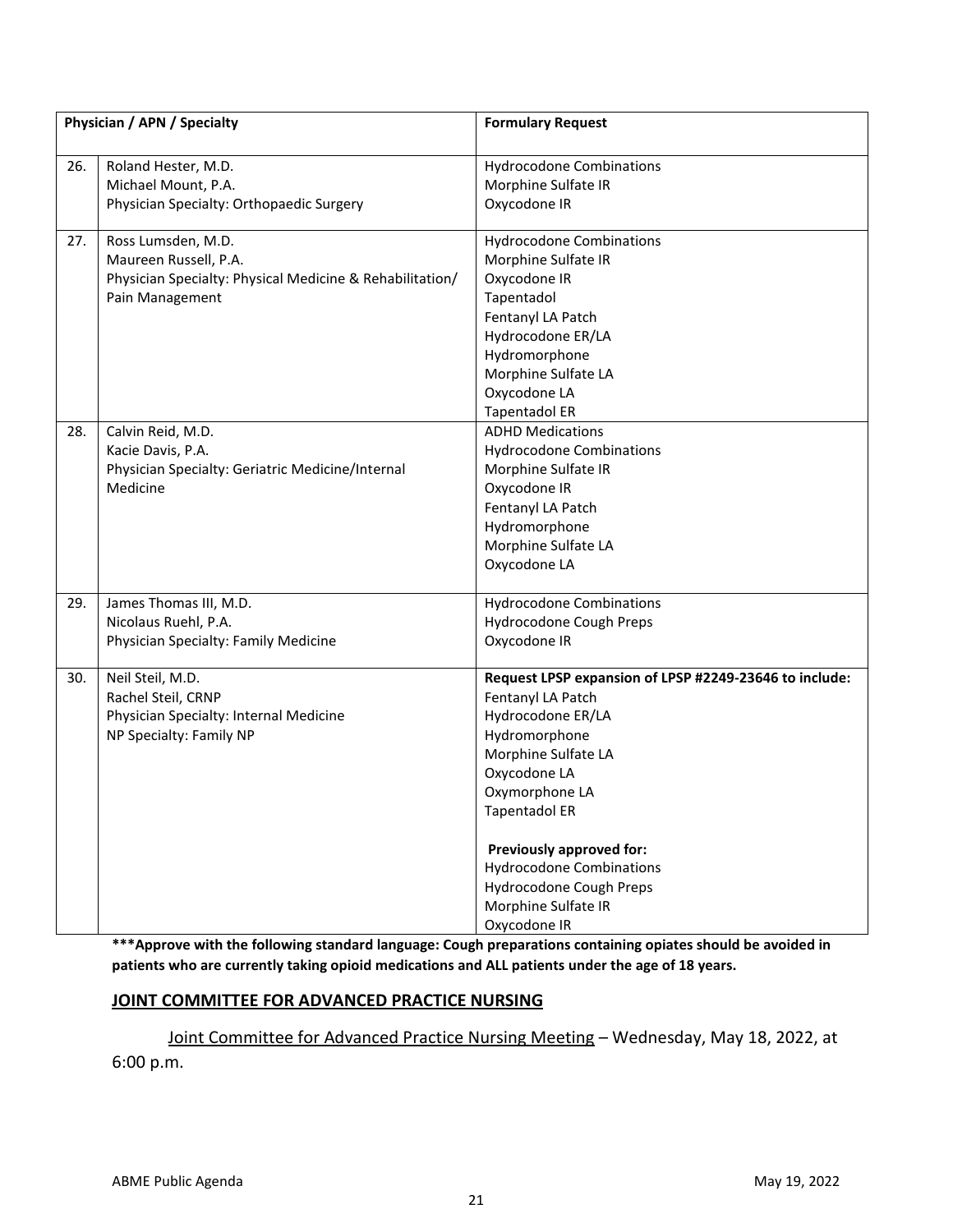| Physician / APN / Specialty |                                                                                   | <b>Formulary Request</b>                               |
|-----------------------------|-----------------------------------------------------------------------------------|--------------------------------------------------------|
| 26.                         | Roland Hester, M.D.<br>Michael Mount, P.A.                                        | <b>Hydrocodone Combinations</b><br>Morphine Sulfate IR |
|                             | Physician Specialty: Orthopaedic Surgery                                          | Oxycodone IR                                           |
| 27.                         | Ross Lumsden, M.D.                                                                | <b>Hydrocodone Combinations</b>                        |
|                             | Maureen Russell, P.A.<br>Physician Specialty: Physical Medicine & Rehabilitation/ | Morphine Sulfate IR<br>Oxycodone IR                    |
|                             | Pain Management                                                                   | Tapentadol                                             |
|                             |                                                                                   | Fentanyl LA Patch                                      |
|                             |                                                                                   | Hydrocodone ER/LA                                      |
|                             |                                                                                   | Hydromorphone                                          |
|                             |                                                                                   | Morphine Sulfate LA                                    |
|                             |                                                                                   | Oxycodone LA                                           |
|                             |                                                                                   | <b>Tapentadol ER</b>                                   |
| 28.                         | Calvin Reid, M.D.                                                                 | <b>ADHD Medications</b>                                |
|                             | Kacie Davis, P.A.                                                                 | <b>Hydrocodone Combinations</b>                        |
|                             | Physician Specialty: Geriatric Medicine/Internal                                  | Morphine Sulfate IR                                    |
|                             | Medicine                                                                          | Oxycodone IR                                           |
|                             |                                                                                   | Fentanyl LA Patch                                      |
|                             |                                                                                   | Hydromorphone                                          |
|                             |                                                                                   | Morphine Sulfate LA                                    |
|                             |                                                                                   | Oxycodone LA                                           |
| 29.                         | James Thomas III, M.D.                                                            | <b>Hydrocodone Combinations</b>                        |
|                             | Nicolaus Ruehl, P.A.                                                              | Hydrocodone Cough Preps                                |
|                             | Physician Specialty: Family Medicine                                              | Oxycodone IR                                           |
| 30.                         | Neil Steil, M.D.                                                                  | Request LPSP expansion of LPSP #2249-23646 to include: |
|                             | Rachel Steil, CRNP                                                                | Fentanyl LA Patch                                      |
|                             | Physician Specialty: Internal Medicine                                            | Hydrocodone ER/LA                                      |
|                             | NP Specialty: Family NP                                                           | Hydromorphone                                          |
|                             |                                                                                   | Morphine Sulfate LA                                    |
|                             |                                                                                   | Oxycodone LA                                           |
|                             |                                                                                   | Oxymorphone LA                                         |
|                             |                                                                                   | Tapentadol ER                                          |
|                             |                                                                                   | Previously approved for:                               |
|                             |                                                                                   | <b>Hydrocodone Combinations</b>                        |
|                             |                                                                                   | Hydrocodone Cough Preps                                |
|                             |                                                                                   | Morphine Sulfate IR                                    |
|                             |                                                                                   | Oxycodone IR                                           |

**\*\*\*Approve with the following standard language: Cough preparations containing opiates should be avoided in patients who are currently taking opioid medications and ALL patients under the age of 18 years.**

# **JOINT COMMITTEE FOR ADVANCED PRACTICE NURSING**

Joint Committee for Advanced Practice Nursing Meeting – Wednesday, May 18, 2022, at

6:00 p.m.